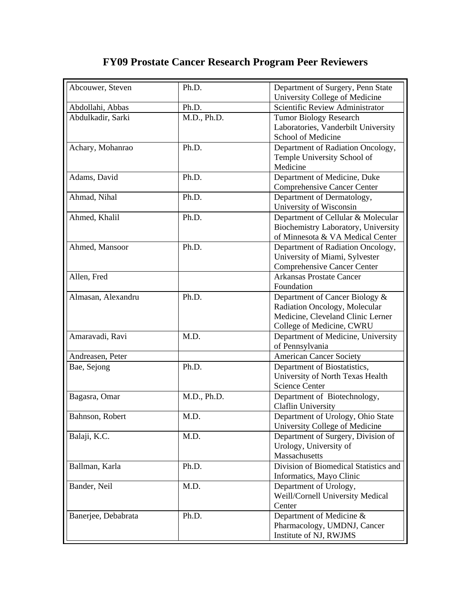## **FY09 Prostate Cancer Research Program Peer Reviewers**

| Abcouwer, Steven    | Ph.D.       | Department of Surgery, Penn State<br>University College of Medicine |
|---------------------|-------------|---------------------------------------------------------------------|
| Abdollahi, Abbas    | Ph.D.       | Scientific Review Administrator                                     |
| Abdulkadir, Sarki   | M.D., Ph.D. | <b>Tumor Biology Research</b>                                       |
|                     |             | Laboratories, Vanderbilt University                                 |
|                     |             | School of Medicine                                                  |
| Achary, Mohanrao    | Ph.D.       | Department of Radiation Oncology,                                   |
|                     |             | Temple University School of                                         |
|                     |             | Medicine                                                            |
| Adams, David        | Ph.D.       | Department of Medicine, Duke                                        |
|                     |             | <b>Comprehensive Cancer Center</b>                                  |
| Ahmad, Nihal        | Ph.D.       | Department of Dermatology,                                          |
|                     |             | University of Wisconsin                                             |
| Ahmed, Khalil       | Ph.D.       | Department of Cellular & Molecular                                  |
|                     |             | Biochemistry Laboratory, University                                 |
|                     |             | of Minnesota & VA Medical Center                                    |
| Ahmed, Mansoor      | Ph.D.       | Department of Radiation Oncology,                                   |
|                     |             | University of Miami, Sylvester                                      |
|                     |             | <b>Comprehensive Cancer Center</b>                                  |
| Allen, Fred         |             | <b>Arkansas Prostate Cancer</b>                                     |
|                     |             | Foundation                                                          |
| Almasan, Alexandru  | Ph.D.       | Department of Cancer Biology &                                      |
|                     |             | Radiation Oncology, Molecular                                       |
|                     |             | Medicine, Cleveland Clinic Lerner                                   |
|                     |             | College of Medicine, CWRU                                           |
| Amaravadi, Ravi     | M.D.        | Department of Medicine, University                                  |
|                     |             | of Pennsylvania                                                     |
| Andreasen, Peter    |             | <b>American Cancer Society</b>                                      |
| Bae, Sejong         | Ph.D.       | Department of Biostatistics,                                        |
|                     |             | University of North Texas Health                                    |
|                     |             | <b>Science Center</b>                                               |
| Bagasra, Omar       | M.D., Ph.D. | Department of Biotechnology,                                        |
|                     |             | <b>Claflin University</b>                                           |
| Bahnson, Robert     | M.D.        | Department of Urology, Ohio State                                   |
|                     |             | University College of Medicine                                      |
| Balaji, K.C.        | M.D.        | Department of Surgery, Division of                                  |
|                     |             | Urology, University of                                              |
|                     |             | Massachusetts                                                       |
| Ballman, Karla      | Ph.D.       | Division of Biomedical Statistics and                               |
|                     |             | Informatics, Mayo Clinic                                            |
| Bander, Neil        | M.D.        | Department of Urology,                                              |
|                     |             | Weill/Cornell University Medical                                    |
|                     |             | Center                                                              |
| Banerjee, Debabrata | Ph.D.       | Department of Medicine &                                            |
|                     |             | Pharmacology, UMDNJ, Cancer                                         |
|                     |             | Institute of NJ, RWJMS                                              |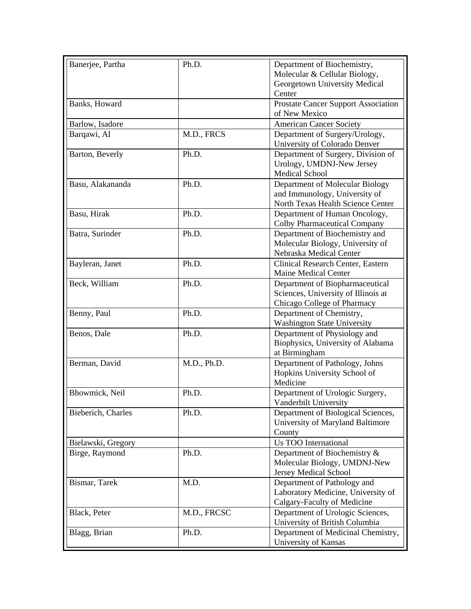| Banerjee, Partha   | Ph.D.       | Department of Biochemistry,                |
|--------------------|-------------|--------------------------------------------|
|                    |             | Molecular & Cellular Biology,              |
|                    |             | Georgetown University Medical              |
|                    |             | Center                                     |
| Banks, Howard      |             | <b>Prostate Cancer Support Association</b> |
|                    |             | of New Mexico                              |
| Barlow, Isadore    |             | <b>American Cancer Society</b>             |
| Barqawi, Al        | M.D., FRCS  | Department of Surgery/Urology,             |
|                    |             | University of Colorado Denver              |
| Barton, Beverly    | Ph.D.       | Department of Surgery, Division of         |
|                    |             | Urology, UMDNJ-New Jersey                  |
|                    |             | <b>Medical School</b>                      |
| Basu, Alakananda   | Ph.D.       | Department of Molecular Biology            |
|                    |             | and Immunology, University of              |
|                    |             | North Texas Health Science Center          |
| Basu, Hirak        | Ph.D.       | Department of Human Oncology,              |
|                    |             | <b>Colby Pharmaceutical Company</b>        |
| Batra, Surinder    | Ph.D.       | Department of Biochemistry and             |
|                    |             | Molecular Biology, University of           |
|                    |             | Nebraska Medical Center                    |
| Bayleran, Janet    | Ph.D.       | Clinical Research Center, Eastern          |
|                    |             | Maine Medical Center                       |
| Beck, William      | Ph.D.       | Department of Biopharmaceutical            |
|                    |             | Sciences, University of Illinois at        |
|                    |             | Chicago College of Pharmacy                |
| Benny, Paul        | Ph.D.       | Department of Chemistry,                   |
|                    |             | <b>Washington State University</b>         |
| Benos, Dale        | Ph.D.       | Department of Physiology and               |
|                    |             | Biophysics, University of Alabama          |
|                    |             | at Birmingham                              |
| Berman, David      | M.D., Ph.D. | Department of Pathology, Johns             |
|                    |             | Hopkins University School of               |
|                    |             | Medicine                                   |
| Bhowmick, Neil     | Ph.D.       | Department of Urologic Surgery,            |
|                    |             | Vanderbilt University                      |
| Bieberich, Charles | Ph.D.       | Department of Biological Sciences,         |
|                    |             | University of Maryland Baltimore           |
|                    |             | County                                     |
| Bielawski, Gregory |             | Us TOO International                       |
| Birge, Raymond     | Ph.D.       | Department of Biochemistry &               |
|                    |             | Molecular Biology, UMDNJ-New               |
|                    |             | Jersey Medical School                      |
| Bismar, Tarek      | M.D.        | Department of Pathology and                |
|                    |             | Laboratory Medicine, University of         |
|                    |             | Calgary-Faculty of Medicine                |
| Black, Peter       | M.D., FRCSC | Department of Urologic Sciences,           |
|                    |             | University of British Columbia             |
| Blagg, Brian       | Ph.D.       | Department of Medicinal Chemistry,         |
|                    |             | University of Kansas                       |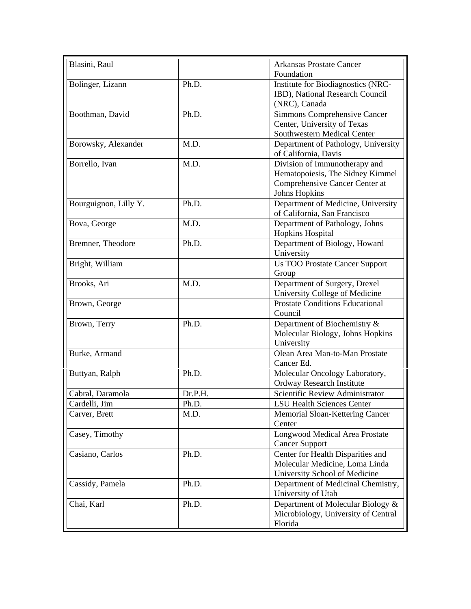| Blasini, Raul         |         | <b>Arkansas Prostate Cancer</b>                                          |
|-----------------------|---------|--------------------------------------------------------------------------|
|                       |         | Foundation                                                               |
| Bolinger, Lizann      | Ph.D.   | Institute for Biodiagnostics (NRC-<br>IBD), National Research Council    |
|                       |         |                                                                          |
|                       |         | (NRC), Canada                                                            |
| Boothman, David       | Ph.D.   | Simmons Comprehensive Cancer                                             |
|                       |         | Center, University of Texas                                              |
|                       |         | Southwestern Medical Center                                              |
| Borowsky, Alexander   | M.D.    | Department of Pathology, University<br>of California, Davis              |
| Borrello, Ivan        | M.D.    | Division of Immunotherapy and                                            |
|                       |         | Hematopoiesis, The Sidney Kimmel                                         |
|                       |         | Comprehensive Cancer Center at                                           |
|                       |         | <b>Johns Hopkins</b>                                                     |
| Bourguignon, Lilly Y. | Ph.D.   | Department of Medicine, University                                       |
|                       |         | of California, San Francisco                                             |
| Bova, George          | M.D.    | Department of Pathology, Johns                                           |
|                       |         | <b>Hopkins Hospital</b>                                                  |
| Bremner, Theodore     | Ph.D.   | Department of Biology, Howard                                            |
|                       |         | University                                                               |
|                       |         |                                                                          |
| Bright, William       |         | <b>Us TOO Prostate Cancer Support</b>                                    |
|                       |         | Group                                                                    |
| Brooks, Ari           | M.D.    | Department of Surgery, Drexel                                            |
|                       |         | University College of Medicine<br><b>Prostate Conditions Educational</b> |
| Brown, George         |         | Council                                                                  |
| Brown, Terry          | Ph.D.   | Department of Biochemistry &                                             |
|                       |         | Molecular Biology, Johns Hopkins                                         |
|                       |         | University                                                               |
| Burke, Armand         |         | Olean Area Man-to-Man Prostate                                           |
|                       |         | Cancer Ed.                                                               |
| Buttyan, Ralph        | Ph.D.   | Molecular Oncology Laboratory,                                           |
|                       |         | Ordway Research Institute                                                |
| Cabral, Daramola      | Dr.P.H. | Scientific Review Administrator                                          |
| Cardelli, Jim         | Ph.D.   | <b>LSU Health Sciences Center</b>                                        |
| Carver, Brett         | M.D.    | Memorial Sloan-Kettering Cancer                                          |
|                       |         | Center                                                                   |
| Casey, Timothy        |         | Longwood Medical Area Prostate                                           |
|                       |         | <b>Cancer Support</b>                                                    |
| Casiano, Carlos       | Ph.D.   | Center for Health Disparities and                                        |
|                       |         | Molecular Medicine, Loma Linda                                           |
|                       |         | University School of Medicine                                            |
| Cassidy, Pamela       | Ph.D.   | Department of Medicinal Chemistry,                                       |
|                       |         | University of Utah                                                       |
| Chai, Karl            | Ph.D.   | Department of Molecular Biology &                                        |
|                       |         | Microbiology, University of Central                                      |
|                       |         | Florida                                                                  |
|                       |         |                                                                          |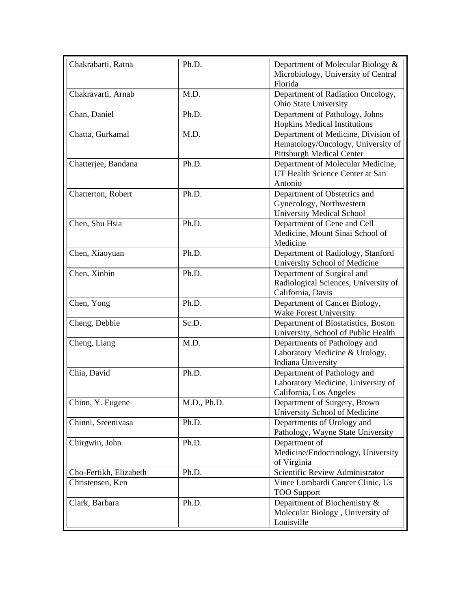| Microbiology, University of Central<br>Florida<br>M.D.<br>Department of Radiation Oncology,<br>Chakravarti, Arnab<br>Ohio State University<br>Department of Pathology, Johns<br>Chan, Daniel<br>Ph.D.<br><b>Hopkins Medical Institutions</b><br>M.D.<br>Chatta, Gurkamal<br>Department of Medicine, Division of<br>Hematology/Oncology, University of<br><b>Pittsburgh Medical Center</b><br>Ph.D.<br>Chatterjee, Bandana<br>Department of Molecular Medicine,<br>UT Health Science Center at San<br>Antonio<br>Chatterton, Robert<br>Ph.D.<br>Department of Obstetrics and<br>Gynecology, Northwestern<br><b>University Medical School</b><br>Chen, Shu Hsia<br>Ph.D.<br>Department of Gene and Cell<br>Medicine, Mount Sinai School of<br>Medicine<br>Ph.D.<br>Chen, Xiaoyuan<br>Department of Radiology, Stanford<br>University School of Medicine<br>Chen, Xinbin<br>Ph.D.<br>Department of Surgical and<br>Radiological Sciences, University of<br>California, Davis<br>Chen, Yong<br>Ph.D.<br>Department of Cancer Biology,<br>Wake Forest University<br>Cheng, Debbie<br>Sc.D.<br>Department of Biostatistics, Boston<br>University, School of Public Health<br>Cheng, Liang<br>M.D.<br>Departments of Pathology and<br>Laboratory Medicine & Urology,<br>Indiana University<br>Chia, David<br>Ph.D.<br>Department of Pathology and<br>Laboratory Medicine, University of<br>California, Los Angeles<br>Chinn, Y. Eugene<br>M.D., Ph.D.<br>Department of Surgery, Brown<br>University School of Medicine<br>Departments of Urology and<br>Chinni, Sreenivasa<br>Ph.D.<br>Pathology, Wayne State University<br>Department of<br>Ph.D.<br>Chirgwin, John<br>Medicine/Endocrinology, University<br>of Virginia<br>Scientific Review Administrator<br>Ph.D.<br>Cho-Fertikh, Elizabeth<br>Vince Lombardi Cancer Clinic, Us<br>Christensen, Ken<br><b>TOO Support</b><br>Department of Biochemistry &<br>Clark, Barbara<br>Ph.D.<br>Molecular Biology, University of<br>Louisville | Chakrabarti, Ratna | Ph.D. | Department of Molecular Biology & |
|-------------------------------------------------------------------------------------------------------------------------------------------------------------------------------------------------------------------------------------------------------------------------------------------------------------------------------------------------------------------------------------------------------------------------------------------------------------------------------------------------------------------------------------------------------------------------------------------------------------------------------------------------------------------------------------------------------------------------------------------------------------------------------------------------------------------------------------------------------------------------------------------------------------------------------------------------------------------------------------------------------------------------------------------------------------------------------------------------------------------------------------------------------------------------------------------------------------------------------------------------------------------------------------------------------------------------------------------------------------------------------------------------------------------------------------------------------------------------------------------------------------------------------------------------------------------------------------------------------------------------------------------------------------------------------------------------------------------------------------------------------------------------------------------------------------------------------------------------------------------------------------------------------------------------------------------------------------------------------------|--------------------|-------|-----------------------------------|
|                                                                                                                                                                                                                                                                                                                                                                                                                                                                                                                                                                                                                                                                                                                                                                                                                                                                                                                                                                                                                                                                                                                                                                                                                                                                                                                                                                                                                                                                                                                                                                                                                                                                                                                                                                                                                                                                                                                                                                                     |                    |       |                                   |
|                                                                                                                                                                                                                                                                                                                                                                                                                                                                                                                                                                                                                                                                                                                                                                                                                                                                                                                                                                                                                                                                                                                                                                                                                                                                                                                                                                                                                                                                                                                                                                                                                                                                                                                                                                                                                                                                                                                                                                                     |                    |       |                                   |
|                                                                                                                                                                                                                                                                                                                                                                                                                                                                                                                                                                                                                                                                                                                                                                                                                                                                                                                                                                                                                                                                                                                                                                                                                                                                                                                                                                                                                                                                                                                                                                                                                                                                                                                                                                                                                                                                                                                                                                                     |                    |       |                                   |
|                                                                                                                                                                                                                                                                                                                                                                                                                                                                                                                                                                                                                                                                                                                                                                                                                                                                                                                                                                                                                                                                                                                                                                                                                                                                                                                                                                                                                                                                                                                                                                                                                                                                                                                                                                                                                                                                                                                                                                                     |                    |       |                                   |
|                                                                                                                                                                                                                                                                                                                                                                                                                                                                                                                                                                                                                                                                                                                                                                                                                                                                                                                                                                                                                                                                                                                                                                                                                                                                                                                                                                                                                                                                                                                                                                                                                                                                                                                                                                                                                                                                                                                                                                                     |                    |       |                                   |
|                                                                                                                                                                                                                                                                                                                                                                                                                                                                                                                                                                                                                                                                                                                                                                                                                                                                                                                                                                                                                                                                                                                                                                                                                                                                                                                                                                                                                                                                                                                                                                                                                                                                                                                                                                                                                                                                                                                                                                                     |                    |       |                                   |
|                                                                                                                                                                                                                                                                                                                                                                                                                                                                                                                                                                                                                                                                                                                                                                                                                                                                                                                                                                                                                                                                                                                                                                                                                                                                                                                                                                                                                                                                                                                                                                                                                                                                                                                                                                                                                                                                                                                                                                                     |                    |       |                                   |
|                                                                                                                                                                                                                                                                                                                                                                                                                                                                                                                                                                                                                                                                                                                                                                                                                                                                                                                                                                                                                                                                                                                                                                                                                                                                                                                                                                                                                                                                                                                                                                                                                                                                                                                                                                                                                                                                                                                                                                                     |                    |       |                                   |
|                                                                                                                                                                                                                                                                                                                                                                                                                                                                                                                                                                                                                                                                                                                                                                                                                                                                                                                                                                                                                                                                                                                                                                                                                                                                                                                                                                                                                                                                                                                                                                                                                                                                                                                                                                                                                                                                                                                                                                                     |                    |       |                                   |
|                                                                                                                                                                                                                                                                                                                                                                                                                                                                                                                                                                                                                                                                                                                                                                                                                                                                                                                                                                                                                                                                                                                                                                                                                                                                                                                                                                                                                                                                                                                                                                                                                                                                                                                                                                                                                                                                                                                                                                                     |                    |       |                                   |
|                                                                                                                                                                                                                                                                                                                                                                                                                                                                                                                                                                                                                                                                                                                                                                                                                                                                                                                                                                                                                                                                                                                                                                                                                                                                                                                                                                                                                                                                                                                                                                                                                                                                                                                                                                                                                                                                                                                                                                                     |                    |       |                                   |
|                                                                                                                                                                                                                                                                                                                                                                                                                                                                                                                                                                                                                                                                                                                                                                                                                                                                                                                                                                                                                                                                                                                                                                                                                                                                                                                                                                                                                                                                                                                                                                                                                                                                                                                                                                                                                                                                                                                                                                                     |                    |       |                                   |
|                                                                                                                                                                                                                                                                                                                                                                                                                                                                                                                                                                                                                                                                                                                                                                                                                                                                                                                                                                                                                                                                                                                                                                                                                                                                                                                                                                                                                                                                                                                                                                                                                                                                                                                                                                                                                                                                                                                                                                                     |                    |       |                                   |
|                                                                                                                                                                                                                                                                                                                                                                                                                                                                                                                                                                                                                                                                                                                                                                                                                                                                                                                                                                                                                                                                                                                                                                                                                                                                                                                                                                                                                                                                                                                                                                                                                                                                                                                                                                                                                                                                                                                                                                                     |                    |       |                                   |
|                                                                                                                                                                                                                                                                                                                                                                                                                                                                                                                                                                                                                                                                                                                                                                                                                                                                                                                                                                                                                                                                                                                                                                                                                                                                                                                                                                                                                                                                                                                                                                                                                                                                                                                                                                                                                                                                                                                                                                                     |                    |       |                                   |
|                                                                                                                                                                                                                                                                                                                                                                                                                                                                                                                                                                                                                                                                                                                                                                                                                                                                                                                                                                                                                                                                                                                                                                                                                                                                                                                                                                                                                                                                                                                                                                                                                                                                                                                                                                                                                                                                                                                                                                                     |                    |       |                                   |
|                                                                                                                                                                                                                                                                                                                                                                                                                                                                                                                                                                                                                                                                                                                                                                                                                                                                                                                                                                                                                                                                                                                                                                                                                                                                                                                                                                                                                                                                                                                                                                                                                                                                                                                                                                                                                                                                                                                                                                                     |                    |       |                                   |
|                                                                                                                                                                                                                                                                                                                                                                                                                                                                                                                                                                                                                                                                                                                                                                                                                                                                                                                                                                                                                                                                                                                                                                                                                                                                                                                                                                                                                                                                                                                                                                                                                                                                                                                                                                                                                                                                                                                                                                                     |                    |       |                                   |
|                                                                                                                                                                                                                                                                                                                                                                                                                                                                                                                                                                                                                                                                                                                                                                                                                                                                                                                                                                                                                                                                                                                                                                                                                                                                                                                                                                                                                                                                                                                                                                                                                                                                                                                                                                                                                                                                                                                                                                                     |                    |       |                                   |
|                                                                                                                                                                                                                                                                                                                                                                                                                                                                                                                                                                                                                                                                                                                                                                                                                                                                                                                                                                                                                                                                                                                                                                                                                                                                                                                                                                                                                                                                                                                                                                                                                                                                                                                                                                                                                                                                                                                                                                                     |                    |       |                                   |
|                                                                                                                                                                                                                                                                                                                                                                                                                                                                                                                                                                                                                                                                                                                                                                                                                                                                                                                                                                                                                                                                                                                                                                                                                                                                                                                                                                                                                                                                                                                                                                                                                                                                                                                                                                                                                                                                                                                                                                                     |                    |       |                                   |
|                                                                                                                                                                                                                                                                                                                                                                                                                                                                                                                                                                                                                                                                                                                                                                                                                                                                                                                                                                                                                                                                                                                                                                                                                                                                                                                                                                                                                                                                                                                                                                                                                                                                                                                                                                                                                                                                                                                                                                                     |                    |       |                                   |
|                                                                                                                                                                                                                                                                                                                                                                                                                                                                                                                                                                                                                                                                                                                                                                                                                                                                                                                                                                                                                                                                                                                                                                                                                                                                                                                                                                                                                                                                                                                                                                                                                                                                                                                                                                                                                                                                                                                                                                                     |                    |       |                                   |
|                                                                                                                                                                                                                                                                                                                                                                                                                                                                                                                                                                                                                                                                                                                                                                                                                                                                                                                                                                                                                                                                                                                                                                                                                                                                                                                                                                                                                                                                                                                                                                                                                                                                                                                                                                                                                                                                                                                                                                                     |                    |       |                                   |
|                                                                                                                                                                                                                                                                                                                                                                                                                                                                                                                                                                                                                                                                                                                                                                                                                                                                                                                                                                                                                                                                                                                                                                                                                                                                                                                                                                                                                                                                                                                                                                                                                                                                                                                                                                                                                                                                                                                                                                                     |                    |       |                                   |
|                                                                                                                                                                                                                                                                                                                                                                                                                                                                                                                                                                                                                                                                                                                                                                                                                                                                                                                                                                                                                                                                                                                                                                                                                                                                                                                                                                                                                                                                                                                                                                                                                                                                                                                                                                                                                                                                                                                                                                                     |                    |       |                                   |
|                                                                                                                                                                                                                                                                                                                                                                                                                                                                                                                                                                                                                                                                                                                                                                                                                                                                                                                                                                                                                                                                                                                                                                                                                                                                                                                                                                                                                                                                                                                                                                                                                                                                                                                                                                                                                                                                                                                                                                                     |                    |       |                                   |
|                                                                                                                                                                                                                                                                                                                                                                                                                                                                                                                                                                                                                                                                                                                                                                                                                                                                                                                                                                                                                                                                                                                                                                                                                                                                                                                                                                                                                                                                                                                                                                                                                                                                                                                                                                                                                                                                                                                                                                                     |                    |       |                                   |
|                                                                                                                                                                                                                                                                                                                                                                                                                                                                                                                                                                                                                                                                                                                                                                                                                                                                                                                                                                                                                                                                                                                                                                                                                                                                                                                                                                                                                                                                                                                                                                                                                                                                                                                                                                                                                                                                                                                                                                                     |                    |       |                                   |
|                                                                                                                                                                                                                                                                                                                                                                                                                                                                                                                                                                                                                                                                                                                                                                                                                                                                                                                                                                                                                                                                                                                                                                                                                                                                                                                                                                                                                                                                                                                                                                                                                                                                                                                                                                                                                                                                                                                                                                                     |                    |       |                                   |
|                                                                                                                                                                                                                                                                                                                                                                                                                                                                                                                                                                                                                                                                                                                                                                                                                                                                                                                                                                                                                                                                                                                                                                                                                                                                                                                                                                                                                                                                                                                                                                                                                                                                                                                                                                                                                                                                                                                                                                                     |                    |       |                                   |
|                                                                                                                                                                                                                                                                                                                                                                                                                                                                                                                                                                                                                                                                                                                                                                                                                                                                                                                                                                                                                                                                                                                                                                                                                                                                                                                                                                                                                                                                                                                                                                                                                                                                                                                                                                                                                                                                                                                                                                                     |                    |       |                                   |
|                                                                                                                                                                                                                                                                                                                                                                                                                                                                                                                                                                                                                                                                                                                                                                                                                                                                                                                                                                                                                                                                                                                                                                                                                                                                                                                                                                                                                                                                                                                                                                                                                                                                                                                                                                                                                                                                                                                                                                                     |                    |       |                                   |
|                                                                                                                                                                                                                                                                                                                                                                                                                                                                                                                                                                                                                                                                                                                                                                                                                                                                                                                                                                                                                                                                                                                                                                                                                                                                                                                                                                                                                                                                                                                                                                                                                                                                                                                                                                                                                                                                                                                                                                                     |                    |       |                                   |
|                                                                                                                                                                                                                                                                                                                                                                                                                                                                                                                                                                                                                                                                                                                                                                                                                                                                                                                                                                                                                                                                                                                                                                                                                                                                                                                                                                                                                                                                                                                                                                                                                                                                                                                                                                                                                                                                                                                                                                                     |                    |       |                                   |
|                                                                                                                                                                                                                                                                                                                                                                                                                                                                                                                                                                                                                                                                                                                                                                                                                                                                                                                                                                                                                                                                                                                                                                                                                                                                                                                                                                                                                                                                                                                                                                                                                                                                                                                                                                                                                                                                                                                                                                                     |                    |       |                                   |
|                                                                                                                                                                                                                                                                                                                                                                                                                                                                                                                                                                                                                                                                                                                                                                                                                                                                                                                                                                                                                                                                                                                                                                                                                                                                                                                                                                                                                                                                                                                                                                                                                                                                                                                                                                                                                                                                                                                                                                                     |                    |       |                                   |
|                                                                                                                                                                                                                                                                                                                                                                                                                                                                                                                                                                                                                                                                                                                                                                                                                                                                                                                                                                                                                                                                                                                                                                                                                                                                                                                                                                                                                                                                                                                                                                                                                                                                                                                                                                                                                                                                                                                                                                                     |                    |       |                                   |
|                                                                                                                                                                                                                                                                                                                                                                                                                                                                                                                                                                                                                                                                                                                                                                                                                                                                                                                                                                                                                                                                                                                                                                                                                                                                                                                                                                                                                                                                                                                                                                                                                                                                                                                                                                                                                                                                                                                                                                                     |                    |       |                                   |
|                                                                                                                                                                                                                                                                                                                                                                                                                                                                                                                                                                                                                                                                                                                                                                                                                                                                                                                                                                                                                                                                                                                                                                                                                                                                                                                                                                                                                                                                                                                                                                                                                                                                                                                                                                                                                                                                                                                                                                                     |                    |       |                                   |
|                                                                                                                                                                                                                                                                                                                                                                                                                                                                                                                                                                                                                                                                                                                                                                                                                                                                                                                                                                                                                                                                                                                                                                                                                                                                                                                                                                                                                                                                                                                                                                                                                                                                                                                                                                                                                                                                                                                                                                                     |                    |       |                                   |
|                                                                                                                                                                                                                                                                                                                                                                                                                                                                                                                                                                                                                                                                                                                                                                                                                                                                                                                                                                                                                                                                                                                                                                                                                                                                                                                                                                                                                                                                                                                                                                                                                                                                                                                                                                                                                                                                                                                                                                                     |                    |       |                                   |
|                                                                                                                                                                                                                                                                                                                                                                                                                                                                                                                                                                                                                                                                                                                                                                                                                                                                                                                                                                                                                                                                                                                                                                                                                                                                                                                                                                                                                                                                                                                                                                                                                                                                                                                                                                                                                                                                                                                                                                                     |                    |       |                                   |
|                                                                                                                                                                                                                                                                                                                                                                                                                                                                                                                                                                                                                                                                                                                                                                                                                                                                                                                                                                                                                                                                                                                                                                                                                                                                                                                                                                                                                                                                                                                                                                                                                                                                                                                                                                                                                                                                                                                                                                                     |                    |       |                                   |
|                                                                                                                                                                                                                                                                                                                                                                                                                                                                                                                                                                                                                                                                                                                                                                                                                                                                                                                                                                                                                                                                                                                                                                                                                                                                                                                                                                                                                                                                                                                                                                                                                                                                                                                                                                                                                                                                                                                                                                                     |                    |       |                                   |
|                                                                                                                                                                                                                                                                                                                                                                                                                                                                                                                                                                                                                                                                                                                                                                                                                                                                                                                                                                                                                                                                                                                                                                                                                                                                                                                                                                                                                                                                                                                                                                                                                                                                                                                                                                                                                                                                                                                                                                                     |                    |       |                                   |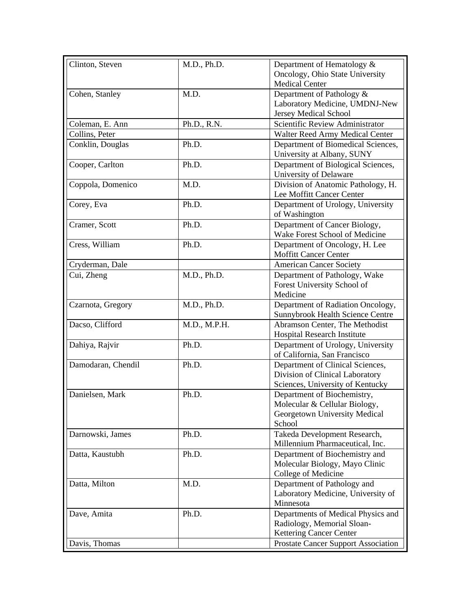| Clinton, Steven    | M.D., Ph.D.  | Department of Hematology &                                          |
|--------------------|--------------|---------------------------------------------------------------------|
|                    |              | Oncology, Ohio State University                                     |
|                    |              | <b>Medical Center</b>                                               |
| Cohen, Stanley     | M.D.         | Department of Pathology &                                           |
|                    |              | Laboratory Medicine, UMDNJ-New                                      |
|                    |              | Jersey Medical School                                               |
| Coleman, E. Ann    |              | Scientific Review Administrator                                     |
| Collins, Peter     | Ph.D., R.N.  |                                                                     |
|                    |              | Walter Reed Army Medical Center                                     |
| Conklin, Douglas   | Ph.D.        | Department of Biomedical Sciences,<br>University at Albany, SUNY    |
| Cooper, Carlton    | Ph.D.        | Department of Biological Sciences,                                  |
|                    |              | University of Delaware                                              |
| Coppola, Domenico  | M.D.         | Division of Anatomic Pathology, H.                                  |
|                    |              | Lee Moffitt Cancer Center                                           |
| Corey, Eva         | Ph.D.        | Department of Urology, University                                   |
|                    |              | of Washington                                                       |
| Cramer, Scott      | Ph.D.        | Department of Cancer Biology,                                       |
|                    |              | Wake Forest School of Medicine                                      |
| Cress, William     | Ph.D.        | Department of Oncology, H. Lee                                      |
|                    |              | <b>Moffitt Cancer Center</b>                                        |
| Cryderman, Dale    |              | <b>American Cancer Society</b>                                      |
| Cui, Zheng         | M.D., Ph.D.  | Department of Pathology, Wake                                       |
|                    |              | Forest University School of                                         |
|                    |              | Medicine                                                            |
| Czarnota, Gregory  | M.D., Ph.D.  | Department of Radiation Oncology,                                   |
|                    |              | Sunnybrook Health Science Centre                                    |
| Dacso, Clifford    | M.D., M.P.H. | Abramson Center, The Methodist                                      |
|                    |              | Hospital Research Institute                                         |
| Dahiya, Rajvir     | Ph.D.        | Department of Urology, University                                   |
|                    |              | of California, San Francisco                                        |
| Damodaran, Chendil | Ph.D.        |                                                                     |
|                    |              | Department of Clinical Sciences,<br>Division of Clinical Laboratory |
|                    |              |                                                                     |
|                    |              | Sciences, University of Kentucky                                    |
| Danielsen, Mark    | Ph.D.        | Department of Biochemistry,                                         |
|                    |              | Molecular & Cellular Biology,                                       |
|                    |              | Georgetown University Medical                                       |
|                    |              | School                                                              |
| Darnowski, James   | Ph.D.        | Takeda Development Research,                                        |
|                    |              | Millennium Pharmaceutical, Inc.                                     |
| Datta, Kaustubh    | Ph.D.        | Department of Biochemistry and                                      |
|                    |              | Molecular Biology, Mayo Clinic                                      |
|                    |              | College of Medicine                                                 |
| Datta, Milton      | M.D.         | Department of Pathology and                                         |
|                    |              | Laboratory Medicine, University of                                  |
|                    |              | Minnesota                                                           |
| Dave, Amita        | Ph.D.        | Departments of Medical Physics and                                  |
|                    |              | Radiology, Memorial Sloan-                                          |
|                    |              | Kettering Cancer Center                                             |
| Davis, Thomas      |              | <b>Prostate Cancer Support Association</b>                          |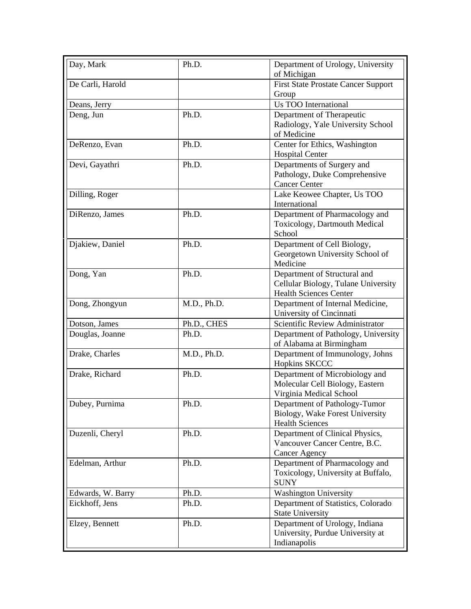| Day, Mark         | Ph.D.       | Department of Urology, University<br>of Michigan                                                     |
|-------------------|-------------|------------------------------------------------------------------------------------------------------|
| De Carli, Harold  |             | <b>First State Prostate Cancer Support</b><br>Group                                                  |
| Deans, Jerry      |             | Us TOO International                                                                                 |
| Deng, Jun         | Ph.D.       | Department of Therapeutic<br>Radiology, Yale University School<br>of Medicine                        |
| DeRenzo, Evan     | Ph.D.       | Center for Ethics, Washington<br><b>Hospital Center</b>                                              |
| Devi, Gayathri    | Ph.D.       | Departments of Surgery and<br>Pathology, Duke Comprehensive<br><b>Cancer Center</b>                  |
| Dilling, Roger    |             | Lake Keowee Chapter, Us TOO<br>International                                                         |
| DiRenzo, James    | Ph.D.       | Department of Pharmacology and<br>Toxicology, Dartmouth Medical<br>School                            |
| Djakiew, Daniel   | Ph.D.       | Department of Cell Biology,<br>Georgetown University School of<br>Medicine                           |
| Dong, Yan         | Ph.D.       | Department of Structural and<br>Cellular Biology, Tulane University<br><b>Health Sciences Center</b> |
| Dong, Zhongyun    | M.D., Ph.D. | Department of Internal Medicine,<br>University of Cincinnati                                         |
| Dotson, James     | Ph.D., CHES | Scientific Review Administrator                                                                      |
| Douglas, Joanne   | Ph.D.       | Department of Pathology, University<br>of Alabama at Birmingham                                      |
| Drake, Charles    | M.D., Ph.D. | Department of Immunology, Johns<br><b>Hopkins SKCCC</b>                                              |
| Drake, Richard    | Ph.D.       | Department of Microbiology and<br>Molecular Cell Biology, Eastern<br>Virginia Medical School         |
| Dubey, Purnima    | Ph.D.       | Department of Pathology-Tumor<br>Biology, Wake Forest University<br><b>Health Sciences</b>           |
| Duzenli, Cheryl   | Ph.D.       | Department of Clinical Physics,<br>Vancouver Cancer Centre, B.C.<br><b>Cancer Agency</b>             |
| Edelman, Arthur   | Ph.D.       | Department of Pharmacology and<br>Toxicology, University at Buffalo,<br><b>SUNY</b>                  |
| Edwards, W. Barry | Ph.D.       | <b>Washington University</b>                                                                         |
| Eickhoff, Jens    | Ph.D.       | Department of Statistics, Colorado<br><b>State University</b>                                        |
| Elzey, Bennett    | Ph.D.       | Department of Urology, Indiana<br>University, Purdue University at<br>Indianapolis                   |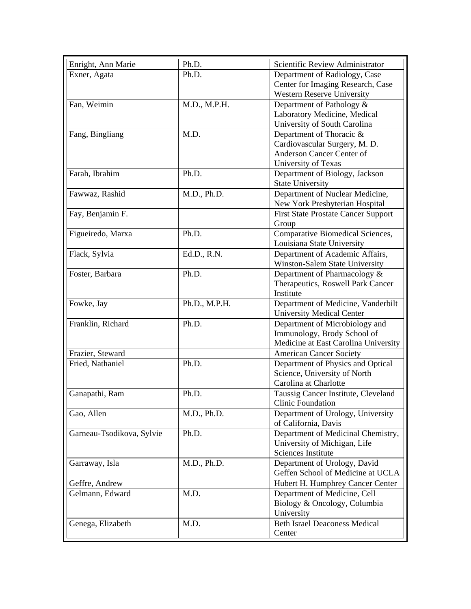| Enright, Ann Marie        | Ph.D.         | Scientific Review Administrator                                        |
|---------------------------|---------------|------------------------------------------------------------------------|
| Exner, Agata              | Ph.D.         | Department of Radiology, Case                                          |
|                           |               | Center for Imaging Research, Case                                      |
|                           |               | <b>Western Reserve University</b>                                      |
| Fan, Weimin               | M.D., M.P.H.  | Department of Pathology &                                              |
|                           |               | Laboratory Medicine, Medical                                           |
|                           |               | University of South Carolina                                           |
| Fang, Bingliang           | M.D.          | Department of Thoracic &                                               |
|                           |               | Cardiovascular Surgery, M. D.                                          |
|                           |               | Anderson Cancer Center of                                              |
|                           |               | University of Texas                                                    |
| Farah, Ibrahim            | Ph.D.         | Department of Biology, Jackson                                         |
|                           |               | <b>State University</b>                                                |
| Fawwaz, Rashid            | M.D., Ph.D.   | Department of Nuclear Medicine,                                        |
|                           |               | New York Presbyterian Hospital                                         |
| Fay, Benjamin F.          |               | <b>First State Prostate Cancer Support</b>                             |
|                           |               | Group                                                                  |
| Figueiredo, Marxa         | Ph.D.         | Comparative Biomedical Sciences,                                       |
|                           |               | Louisiana State University                                             |
| Flack, Sylvia             | Ed.D., R.N.   | Department of Academic Affairs,                                        |
|                           |               | Winston-Salem State University                                         |
|                           | Ph.D.         |                                                                        |
| Foster, Barbara           |               | Department of Pharmacology &                                           |
|                           |               | Therapeutics, Roswell Park Cancer<br>Institute                         |
|                           |               |                                                                        |
| Fowke, Jay                | Ph.D., M.P.H. | Department of Medicine, Vanderbilt<br><b>University Medical Center</b> |
| Franklin, Richard         | Ph.D.         | Department of Microbiology and                                         |
|                           |               | Immunology, Brody School of                                            |
|                           |               | Medicine at East Carolina University                                   |
|                           |               |                                                                        |
| Frazier, Steward          |               | <b>American Cancer Society</b>                                         |
| Fried, Nathaniel          | Ph.D.         | Department of Physics and Optical                                      |
|                           |               | Science, University of North                                           |
|                           |               | Carolina at Charlotte                                                  |
| Ganapathi, Ram            | Ph.D.         | Taussig Cancer Institute, Cleveland                                    |
|                           |               | <b>Clinic Foundation</b>                                               |
| Gao, Allen                | M.D., Ph.D.   | Department of Urology, University                                      |
|                           |               | of California, Davis                                                   |
| Garneau-Tsodikova, Sylvie | Ph.D.         | Department of Medicinal Chemistry,                                     |
|                           |               | University of Michigan, Life                                           |
|                           |               | Sciences Institute                                                     |
| Garraway, Isla            | M.D., Ph.D.   | Department of Urology, David                                           |
|                           |               | Geffen School of Medicine at UCLA                                      |
| Geffre, Andrew            |               | Hubert H. Humphrey Cancer Center                                       |
| Gelmann, Edward           | M.D.          | Department of Medicine, Cell                                           |
|                           |               | Biology & Oncology, Columbia                                           |
|                           |               | University                                                             |
| Genega, Elizabeth         | M.D.          | <b>Beth Israel Deaconess Medical</b>                                   |
|                           |               | Center                                                                 |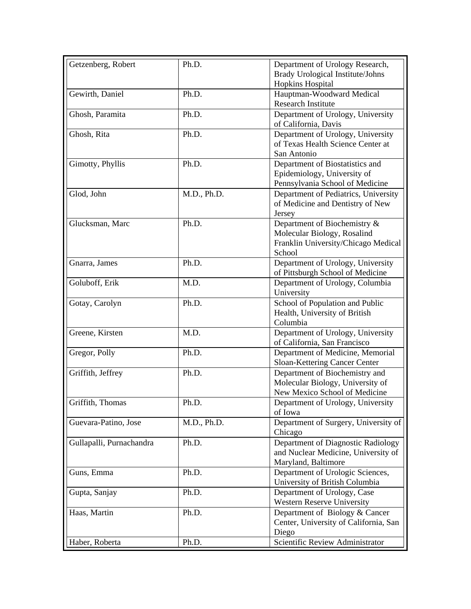| Getzenberg, Robert       | Ph.D.       | Department of Urology Research,       |
|--------------------------|-------------|---------------------------------------|
|                          |             | Brady Urological Institute/Johns      |
|                          |             | Hopkins Hospital                      |
| Gewirth, Daniel          | Ph.D.       | Hauptman-Woodward Medical             |
|                          |             | <b>Research Institute</b>             |
| Ghosh, Paramita          | Ph.D.       | Department of Urology, University     |
|                          |             | of California, Davis                  |
| Ghosh, Rita              | Ph.D.       | Department of Urology, University     |
|                          |             | of Texas Health Science Center at     |
|                          |             | San Antonio                           |
| Gimotty, Phyllis         | Ph.D.       | Department of Biostatistics and       |
|                          |             | Epidemiology, University of           |
|                          |             | Pennsylvania School of Medicine       |
| Glod, John               | M.D., Ph.D. | Department of Pediatrics, University  |
|                          |             | of Medicine and Dentistry of New      |
|                          |             | Jersey                                |
| Glucksman, Marc          | Ph.D.       | Department of Biochemistry &          |
|                          |             | Molecular Biology, Rosalind           |
|                          |             | Franklin University/Chicago Medical   |
|                          |             | School                                |
| Gnarra, James            | Ph.D.       | Department of Urology, University     |
|                          |             | of Pittsburgh School of Medicine      |
| Goluboff, Erik           | M.D.        | Department of Urology, Columbia       |
|                          |             | University                            |
| Gotay, Carolyn           | Ph.D.       | School of Population and Public       |
|                          |             | Health, University of British         |
|                          |             | Columbia                              |
| Greene, Kirsten          | M.D.        | Department of Urology, University     |
|                          |             | of California, San Francisco          |
| Gregor, Polly            | Ph.D.       | Department of Medicine, Memorial      |
|                          |             | Sloan-Kettering Cancer Center         |
| Griffith, Jeffrey        | Ph.D.       | Department of Biochemistry and        |
|                          |             | Molecular Biology, University of      |
|                          |             | New Mexico School of Medicine         |
| Griffith, Thomas         | Ph.D.       | Department of Urology, University     |
|                          |             | of Iowa                               |
| Guevara-Patino, Jose     | M.D., Ph.D. | Department of Surgery, University of  |
|                          |             | Chicago                               |
| Gullapalli, Purnachandra | Ph.D.       | Department of Diagnostic Radiology    |
|                          |             | and Nuclear Medicine, University of   |
|                          |             | Maryland, Baltimore                   |
| Guns, Emma               | Ph.D.       | Department of Urologic Sciences,      |
|                          |             | University of British Columbia        |
| Gupta, Sanjay            | Ph.D.       | Department of Urology, Case           |
|                          |             | <b>Western Reserve University</b>     |
| Haas, Martin             | Ph.D.       | Department of Biology & Cancer        |
|                          |             | Center, University of California, San |
|                          |             | Diego                                 |
| Haber, Roberta           | Ph.D.       | Scientific Review Administrator       |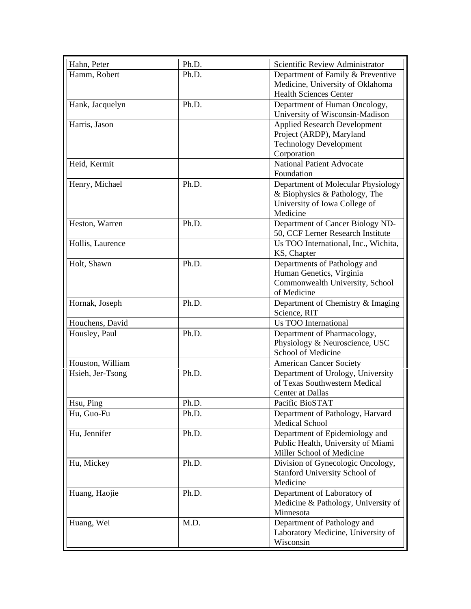| Hahn, Peter      | Ph.D. | Scientific Review Administrator      |
|------------------|-------|--------------------------------------|
| Hamm, Robert     | Ph.D. | Department of Family & Preventive    |
|                  |       | Medicine, University of Oklahoma     |
|                  |       | <b>Health Sciences Center</b>        |
| Hank, Jacquelyn  | Ph.D. | Department of Human Oncology,        |
|                  |       | University of Wisconsin-Madison      |
| Harris, Jason    |       | <b>Applied Research Development</b>  |
|                  |       | Project (ARDP), Maryland             |
|                  |       | <b>Technology Development</b>        |
|                  |       | Corporation                          |
| Heid, Kermit     |       | <b>National Patient Advocate</b>     |
|                  |       | Foundation                           |
| Henry, Michael   | Ph.D. | Department of Molecular Physiology   |
|                  |       | & Biophysics & Pathology, The        |
|                  |       | University of Iowa College of        |
|                  |       | Medicine                             |
| Heston, Warren   | Ph.D. | Department of Cancer Biology ND-     |
|                  |       | 50, CCF Lerner Research Institute    |
| Hollis, Laurence |       | Us TOO International, Inc., Wichita, |
|                  |       | KS, Chapter                          |
| Holt, Shawn      | Ph.D. | Departments of Pathology and         |
|                  |       | Human Genetics, Virginia             |
|                  |       | Commonwealth University, School      |
|                  |       | of Medicine                          |
| Hornak, Joseph   | Ph.D. | Department of Chemistry & Imaging    |
|                  |       | Science, RIT                         |
| Houchens, David  |       | <b>Us TOO International</b>          |
| Housley, Paul    | Ph.D. | Department of Pharmacology,          |
|                  |       | Physiology & Neuroscience, USC       |
|                  |       | School of Medicine                   |
| Houston, William |       | <b>American Cancer Society</b>       |
| Hsieh, Jer-Tsong | Ph.D. | Department of Urology, University    |
|                  |       | of Texas Southwestern Medical        |
|                  |       | Center at Dallas                     |
| Hsu, Ping        | Ph.D. | Pacific BioSTAT                      |
| Hu, Guo-Fu       | Ph.D. | Department of Pathology, Harvard     |
|                  |       | <b>Medical School</b>                |
| Hu, Jennifer     | Ph.D. | Department of Epidemiology and       |
|                  |       | Public Health, University of Miami   |
|                  |       | Miller School of Medicine            |
| Hu, Mickey       | Ph.D. | Division of Gynecologic Oncology,    |
|                  |       | <b>Stanford University School of</b> |
|                  |       | Medicine                             |
| Huang, Haojie    | Ph.D. | Department of Laboratory of          |
|                  |       | Medicine & Pathology, University of  |
|                  |       | Minnesota                            |
| Huang, Wei       | M.D.  | Department of Pathology and          |
|                  |       | Laboratory Medicine, University of   |
|                  |       | Wisconsin                            |
|                  |       |                                      |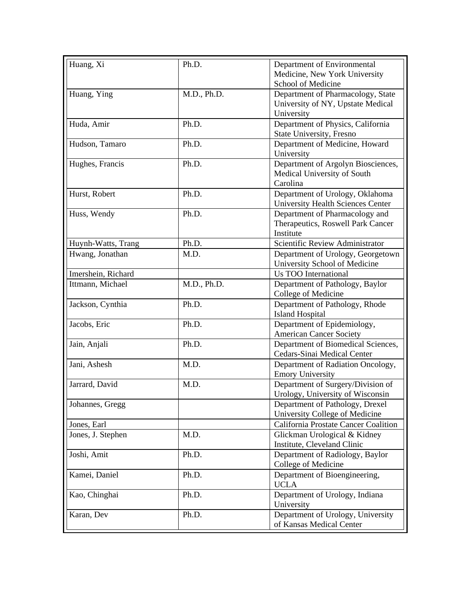| Huang, Xi          | Ph.D.       | Department of Environmental                                           |
|--------------------|-------------|-----------------------------------------------------------------------|
|                    |             | Medicine, New York University                                         |
|                    |             | School of Medicine                                                    |
| Huang, Ying        | M.D., Ph.D. | Department of Pharmacology, State                                     |
|                    |             | University of NY, Upstate Medical<br>University                       |
| Huda, Amir         | Ph.D.       | Department of Physics, California                                     |
|                    |             | State University, Fresno                                              |
| Hudson, Tamaro     | Ph.D.       | Department of Medicine, Howard<br>University                          |
| Hughes, Francis    | Ph.D.       | Department of Argolyn Biosciences,                                    |
|                    |             | Medical University of South                                           |
|                    |             | Carolina                                                              |
| Hurst, Robert      | Ph.D.       | Department of Urology, Oklahoma                                       |
|                    |             | University Health Sciences Center                                     |
| Huss, Wendy        | Ph.D.       | Department of Pharmacology and                                        |
|                    |             | Therapeutics, Roswell Park Cancer                                     |
|                    |             | Institute                                                             |
| Huynh-Watts, Trang | Ph.D.       | Scientific Review Administrator                                       |
| Hwang, Jonathan    | M.D.        | Department of Urology, Georgetown                                     |
|                    |             | University School of Medicine                                         |
| Imershein, Richard |             | <b>Us TOO International</b>                                           |
| Ittmann, Michael   | M.D., Ph.D. | Department of Pathology, Baylor                                       |
|                    |             | College of Medicine                                                   |
| Jackson, Cynthia   | Ph.D.       | Department of Pathology, Rhode<br><b>Island Hospital</b>              |
| Jacobs, Eric       | Ph.D.       | Department of Epidemiology,                                           |
|                    |             | <b>American Cancer Society</b>                                        |
| Jain, Anjali       | Ph.D.       | Department of Biomedical Sciences,                                    |
|                    |             | Cedars-Sinai Medical Center                                           |
| Jani, Ashesh       | M.D.        | Department of Radiation Oncology,                                     |
|                    |             | <b>Emory University</b>                                               |
| Jarrard, David     | M.D.        | Department of Surgery/Division of<br>Urology, University of Wisconsin |
| Johannes, Gregg    |             | Department of Pathology, Drexel                                       |
|                    |             | University College of Medicine                                        |
| Jones, Earl        |             | California Prostate Cancer Coalition                                  |
| Jones, J. Stephen  | M.D.        | Glickman Urological & Kidney                                          |
|                    |             | Institute, Cleveland Clinic                                           |
| Joshi, Amit        | Ph.D.       | Department of Radiology, Baylor                                       |
|                    |             | College of Medicine                                                   |
| Kamei, Daniel      | Ph.D.       | Department of Bioengineering,                                         |
|                    |             | <b>UCLA</b>                                                           |
| Kao, Chinghai      | Ph.D.       | Department of Urology, Indiana                                        |
|                    |             | University                                                            |
| Karan, Dev         | Ph.D.       | Department of Urology, University                                     |
|                    |             | of Kansas Medical Center                                              |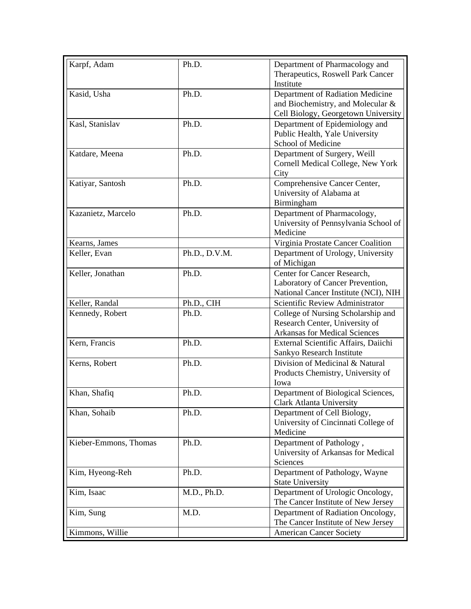| Karpf, Adam           | Ph.D.         | Department of Pharmacology and<br>Therapeutics, Roswell Park Cancer<br>Institute                             |
|-----------------------|---------------|--------------------------------------------------------------------------------------------------------------|
| Kasid, Usha           | Ph.D.         | Department of Radiation Medicine<br>and Biochemistry, and Molecular &<br>Cell Biology, Georgetown University |
| Kasl, Stanislav       | Ph.D.         | Department of Epidemiology and<br>Public Health, Yale University<br>School of Medicine                       |
| Katdare, Meena        | Ph.D.         | Department of Surgery, Weill<br>Cornell Medical College, New York<br>City                                    |
| Katiyar, Santosh      | Ph.D.         | Comprehensive Cancer Center,<br>University of Alabama at<br>Birmingham                                       |
| Kazanietz, Marcelo    | Ph.D.         | Department of Pharmacology,<br>University of Pennsylvania School of<br>Medicine                              |
| Kearns, James         |               | Virginia Prostate Cancer Coalition                                                                           |
| Keller, Evan          | Ph.D., D.V.M. | Department of Urology, University<br>of Michigan                                                             |
| Keller, Jonathan      | Ph.D.         | Center for Cancer Research,<br>Laboratory of Cancer Prevention,<br>National Cancer Institute (NCI), NIH      |
| Keller, Randal        | Ph.D., CIH    | Scientific Review Administrator                                                                              |
| Kennedy, Robert       | Ph.D.         | College of Nursing Scholarship and<br>Research Center, University of<br><b>Arkansas for Medical Sciences</b> |
| Kern, Francis         | Ph.D.         | External Scientific Affairs, Daiichi<br>Sankyo Research Institute                                            |
| Kerns, Robert         | Ph.D.         | Division of Medicinal & Natural<br>Products Chemistry, University of<br>Iowa                                 |
| Khan, Shafiq          | Ph.D.         | Department of Biological Sciences,<br><b>Clark Atlanta University</b>                                        |
| Khan, Sohaib          | Ph.D.         | Department of Cell Biology,<br>University of Cincinnati College of<br>Medicine                               |
| Kieber-Emmons, Thomas | Ph.D.         | Department of Pathology,<br>University of Arkansas for Medical<br>Sciences                                   |
| Kim, Hyeong-Reh       | Ph.D.         | Department of Pathology, Wayne<br><b>State University</b>                                                    |
| Kim, Isaac            | M.D., Ph.D.   | Department of Urologic Oncology,<br>The Cancer Institute of New Jersey                                       |
| Kim, Sung             | M.D.          | Department of Radiation Oncology,<br>The Cancer Institute of New Jersey                                      |
| Kimmons, Willie       |               | <b>American Cancer Society</b>                                                                               |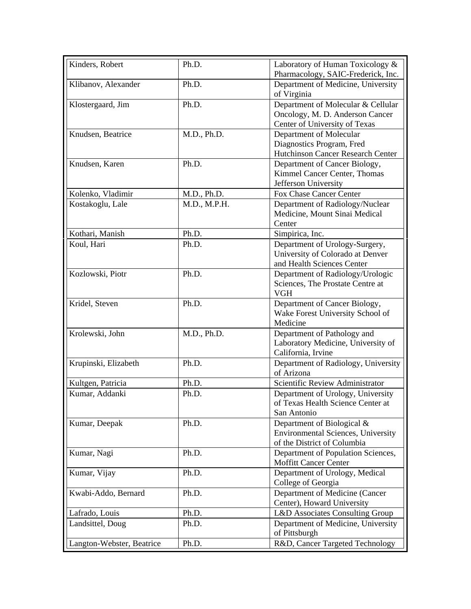| Kinders, Robert<br>Ph.D.           |              | Laboratory of Human Toxicology &                  |
|------------------------------------|--------------|---------------------------------------------------|
|                                    |              | Pharmacology, SAIC-Frederick, Inc.                |
| Klibanov, Alexander<br>Ph.D.       |              | Department of Medicine, University<br>of Virginia |
| Ph.D.<br>Klostergaard, Jim         |              | Department of Molecular & Cellular                |
|                                    |              | Oncology, M. D. Anderson Cancer                   |
|                                    |              | Center of University of Texas                     |
| Knudsen, Beatrice                  | M.D., Ph.D.  | Department of Molecular                           |
|                                    |              | Diagnostics Program, Fred                         |
|                                    |              | Hutchinson Cancer Research Center                 |
| Ph.D.<br>Knudsen, Karen            |              | Department of Cancer Biology,                     |
|                                    |              | Kimmel Cancer Center, Thomas                      |
|                                    |              | Jefferson University                              |
| Kolenko, Vladimir                  | M.D., Ph.D.  | Fox Chase Cancer Center                           |
| Kostakoglu, Lale                   | M.D., M.P.H. | Department of Radiology/Nuclear                   |
|                                    |              | Medicine, Mount Sinai Medical                     |
|                                    |              | Center                                            |
| Kothari, Manish<br>Ph.D.           |              | Simpirica, Inc.                                   |
| Koul, Hari<br>Ph.D.                |              | Department of Urology-Surgery,                    |
|                                    |              | University of Colorado at Denver                  |
|                                    |              | and Health Sciences Center                        |
| Ph.D.<br>Kozlowski, Piotr          |              | Department of Radiology/Urologic                  |
|                                    |              | Sciences, The Prostate Centre at                  |
|                                    |              | <b>VGH</b>                                        |
| Kridel, Steven<br>Ph.D.            |              | Department of Cancer Biology,                     |
|                                    |              | Wake Forest University School of                  |
|                                    |              | Medicine                                          |
| Krolewski, John                    | M.D., Ph.D.  | Department of Pathology and                       |
|                                    |              | Laboratory Medicine, University of                |
|                                    |              | California, Irvine                                |
| Ph.D.<br>Krupinski, Elizabeth      |              | Department of Radiology, University               |
|                                    |              | of Arizona                                        |
| Kultgen, Patricia<br>Ph.D.         |              | Scientific Review Administrator                   |
| Kumar, Addanki<br>Ph.D.            |              | Department of Urology, University                 |
|                                    |              | of Texas Health Science Center at                 |
|                                    |              | San Antonio                                       |
| Kumar, Deepak<br>Ph.D.             |              | Department of Biological &                        |
|                                    |              | <b>Environmental Sciences, University</b>         |
|                                    |              | of the District of Columbia                       |
| Kumar, Nagi<br>Ph.D.               |              | Department of Population Sciences,                |
|                                    |              | <b>Moffitt Cancer Center</b>                      |
| Kumar, Vijay<br>Ph.D.              |              | Department of Urology, Medical                    |
|                                    |              | College of Georgia                                |
| Kwabi-Addo, Bernard<br>Ph.D.       |              | Department of Medicine (Cancer                    |
|                                    |              | Center), Howard University                        |
| Ph.D.<br>Lafrado, Louis            |              | L&D Associates Consulting Group                   |
| Landsittel, Doug<br>Ph.D.          |              | Department of Medicine, University                |
|                                    |              | of Pittsburgh                                     |
| Langton-Webster, Beatrice<br>Ph.D. |              | R&D, Cancer Targeted Technology                   |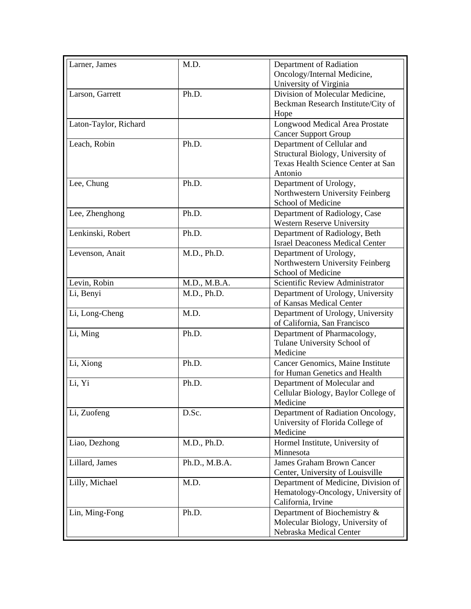|               | Department of Radiation                        |
|---------------|------------------------------------------------|
|               | Oncology/Internal Medicine,                    |
|               | University of Virginia                         |
| Ph.D.         | Division of Molecular Medicine,                |
|               | Beckman Research Institute/City of             |
|               | Hope                                           |
|               | Longwood Medical Area Prostate                 |
|               | <b>Cancer Support Group</b>                    |
| Ph.D.         | Department of Cellular and                     |
|               | Structural Biology, University of              |
|               | Texas Health Science Center at San             |
|               | Antonio                                        |
|               | Department of Urology,                         |
|               | Northwestern University Feinberg               |
|               | School of Medicine                             |
|               | Department of Radiology, Case                  |
|               | <b>Western Reserve University</b>              |
| Ph.D.         | Department of Radiology, Beth                  |
|               | <b>Israel Deaconess Medical Center</b>         |
|               | Department of Urology,                         |
|               | Northwestern University Feinberg               |
|               | School of Medicine                             |
| M.D., M.B.A.  | Scientific Review Administrator                |
| M.D., Ph.D.   | Department of Urology, University              |
|               | of Kansas Medical Center                       |
|               | Department of Urology, University              |
|               | of California, San Francisco                   |
| Ph.D.         | Department of Pharmacology,                    |
|               | Tulane University School of                    |
|               | Medicine                                       |
|               | Cancer Genomics, Maine Institute               |
|               | for Human Genetics and Health                  |
| Ph.D.         | Department of Molecular and                    |
|               | Cellular Biology, Baylor College of            |
|               | Medicine                                       |
| D.Sc.         | Department of Radiation Oncology,              |
|               | University of Florida College of               |
|               | Medicine                                       |
| M.D., Ph.D.   | Hormel Institute, University of                |
|               | Minnesota                                      |
| Ph.D., M.B.A. | James Graham Brown Cancer                      |
|               | Center, University of Louisville               |
| M.D.          | Department of Medicine, Division of            |
|               | Hematology-Oncology, University of             |
|               | California, Irvine                             |
| Ph.D.         | Department of Biochemistry &                   |
|               | Molecular Biology, University of               |
|               | Nebraska Medical Center                        |
|               | Ph.D.<br>Ph.D.<br>M.D., Ph.D.<br>M.D.<br>Ph.D. |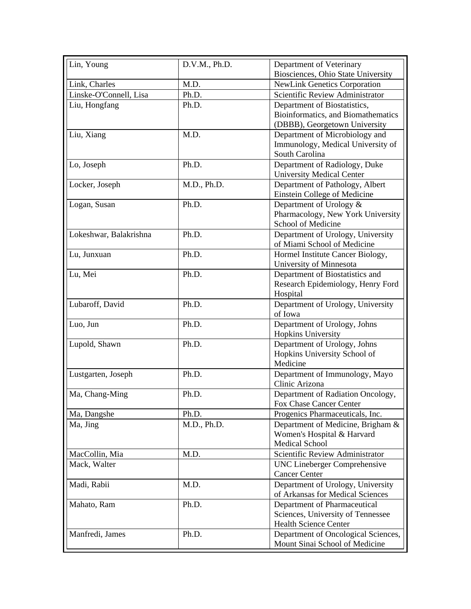| Lin, Young             | D.V.M., Ph.D. | Department of Veterinary            |
|------------------------|---------------|-------------------------------------|
|                        |               | Biosciences, Ohio State University  |
| Link, Charles          | M.D.          | <b>NewLink Genetics Corporation</b> |
| Linske-O'Connell, Lisa | Ph.D.         | Scientific Review Administrator     |
| Liu, Hongfang          | Ph.D.         | Department of Biostatistics,        |
|                        |               | Bioinformatics, and Biomathematics  |
|                        |               | (DBBB), Georgetown University       |
| Liu, Xiang             | M.D.          | Department of Microbiology and      |
|                        |               | Immunology, Medical University of   |
|                        |               | South Carolina                      |
| Lo, Joseph             | Ph.D.         | Department of Radiology, Duke       |
|                        |               | <b>University Medical Center</b>    |
| Locker, Joseph         | M.D., Ph.D.   | Department of Pathology, Albert     |
|                        |               | Einstein College of Medicine        |
| Logan, Susan           | Ph.D.         | Department of Urology &             |
|                        |               | Pharmacology, New York University   |
|                        |               | School of Medicine                  |
| Lokeshwar, Balakrishna | Ph.D.         | Department of Urology, University   |
|                        |               | of Miami School of Medicine         |
| Lu, Junxuan            | Ph.D.         | Hormel Institute Cancer Biology,    |
|                        |               | University of Minnesota             |
| Lu, Mei                | Ph.D.         | Department of Biostatistics and     |
|                        |               | Research Epidemiology, Henry Ford   |
|                        |               | Hospital                            |
| Lubaroff, David        | Ph.D.         | Department of Urology, University   |
|                        |               | of Iowa                             |
| Luo, Jun               | Ph.D.         | Department of Urology, Johns        |
|                        |               | Hopkins University                  |
| Lupold, Shawn          | Ph.D.         | Department of Urology, Johns        |
|                        |               | Hopkins University School of        |
|                        |               | Medicine                            |
| Lustgarten, Joseph     | Ph.D.         | Department of Immunology, Mayo      |
|                        |               | Clinic Arizona                      |
| Ma, Chang-Ming         | Ph.D.         | Department of Radiation Oncology,   |
|                        |               | Fox Chase Cancer Center             |
| Ma, Dangshe            | Ph.D.         | Progenics Pharmaceuticals, Inc.     |
| Ma, Jing               | M.D., Ph.D.   | Department of Medicine, Brigham &   |
|                        |               | Women's Hospital & Harvard          |
|                        |               | Medical School                      |
| MacCollin, Mia         | M.D.          | Scientific Review Administrator     |
| Mack, Walter           |               | UNC Lineberger Comprehensive        |
|                        |               | <b>Cancer Center</b>                |
| Madi, Rabii            | M.D.          | Department of Urology, University   |
|                        |               | of Arkansas for Medical Sciences    |
| Mahato, Ram            | Ph.D.         | Department of Pharmaceutical        |
|                        |               | Sciences, University of Tennessee   |
|                        |               | <b>Health Science Center</b>        |
| Manfredi, James        | Ph.D.         | Department of Oncological Sciences, |
|                        |               | Mount Sinai School of Medicine      |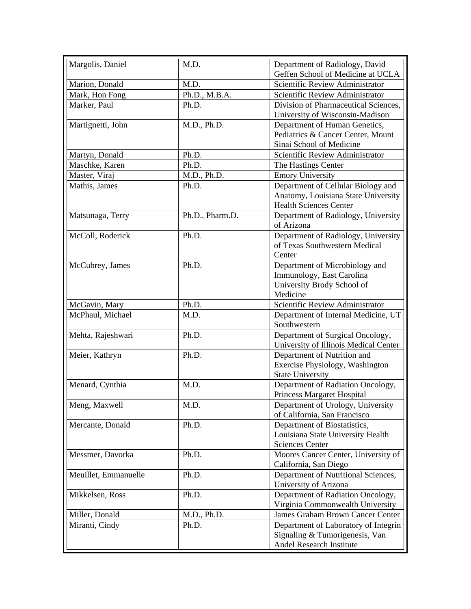| Margolis, Daniel     | M.D.            | Department of Radiology, David<br>Geffen School of Medicine at UCLA |
|----------------------|-----------------|---------------------------------------------------------------------|
| Marion, Donald       | M.D.            | Scientific Review Administrator                                     |
| Mark, Hon Fong       | Ph.D., M.B.A.   | Scientific Review Administrator                                     |
| Marker, Paul         | Ph.D.           | Division of Pharmaceutical Sciences,                                |
|                      |                 | University of Wisconsin-Madison                                     |
| Martignetti, John    | M.D., Ph.D.     | Department of Human Genetics,                                       |
|                      |                 | Pediatrics & Cancer Center, Mount                                   |
|                      |                 | Sinai School of Medicine                                            |
| Martyn, Donald       | Ph.D.           | Scientific Review Administrator                                     |
| Maschke, Karen       | Ph.D.           | The Hastings Center                                                 |
| Master, Viraj        | M.D., Ph.D.     | <b>Emory University</b>                                             |
| Mathis, James        | Ph.D.           | Department of Cellular Biology and                                  |
|                      |                 | Anatomy, Louisiana State University                                 |
|                      |                 | <b>Health Sciences Center</b>                                       |
| Matsunaga, Terry     | Ph.D., Pharm.D. | Department of Radiology, University                                 |
|                      |                 | of Arizona                                                          |
| McColl, Roderick     | Ph.D.           | Department of Radiology, University                                 |
|                      |                 | of Texas Southwestern Medical                                       |
|                      |                 | Center                                                              |
| McCubrey, James      | Ph.D.           | Department of Microbiology and                                      |
|                      |                 | Immunology, East Carolina                                           |
|                      |                 | University Brody School of                                          |
|                      |                 | Medicine                                                            |
| McGavin, Mary        | Ph.D.           | Scientific Review Administrator                                     |
| McPhaul, Michael     | M.D.            | Department of Internal Medicine, UT                                 |
|                      |                 | Southwestern                                                        |
| Mehta, Rajeshwari    | Ph.D.           | Department of Surgical Oncology,                                    |
|                      |                 | University of Illinois Medical Center                               |
| Meier, Kathryn       | Ph.D.           | Department of Nutrition and                                         |
|                      |                 | Exercise Physiology, Washington                                     |
|                      |                 | <b>State University</b>                                             |
| Menard, Cynthia      | M.D.            | Department of Radiation Oncology,                                   |
|                      |                 | <b>Princess Margaret Hospital</b>                                   |
| Meng, Maxwell        | M.D.            | Department of Urology, University                                   |
|                      |                 | of California, San Francisco                                        |
| Mercante, Donald     | Ph.D.           | Department of Biostatistics,                                        |
|                      |                 | Louisiana State University Health                                   |
|                      |                 | <b>Sciences Center</b>                                              |
| Messmer, Davorka     | Ph.D.           | Moores Cancer Center, University of<br>California, San Diego        |
| Meuillet, Emmanuelle | Ph.D.           | Department of Nutritional Sciences,                                 |
|                      |                 | University of Arizona                                               |
| Mikkelsen, Ross      | Ph.D.           | Department of Radiation Oncology,                                   |
|                      |                 | Virginia Commonwealth University                                    |
| Miller, Donald       | M.D., Ph.D.     | James Graham Brown Cancer Center                                    |
| Miranti, Cindy       | Ph.D.           | Department of Laboratory of Integrin                                |
|                      |                 | Signaling & Tumorigenesis, Van                                      |
|                      |                 | Andel Research Institute                                            |
|                      |                 |                                                                     |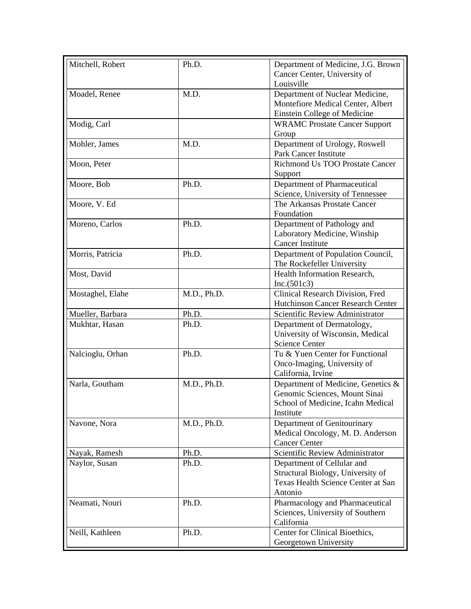| Mitchell, Robert | Ph.D.       | Department of Medicine, J.G. Brown     |
|------------------|-------------|----------------------------------------|
|                  |             | Cancer Center, University of           |
|                  |             | Louisville                             |
| Moadel, Renee    | M.D.        | Department of Nuclear Medicine,        |
|                  |             | Montefiore Medical Center, Albert      |
|                  |             | Einstein College of Medicine           |
| Modig, Carl      |             | <b>WRAMC Prostate Cancer Support</b>   |
|                  |             | Group                                  |
| Mohler, James    | M.D.        | Department of Urology, Roswell         |
|                  |             | Park Cancer Institute                  |
| Moon, Peter      |             | <b>Richmond Us TOO Prostate Cancer</b> |
|                  |             | Support                                |
| Moore, Bob       | Ph.D.       | Department of Pharmaceutical           |
|                  |             | Science, University of Tennessee       |
| Moore, V. Ed     |             | The Arkansas Prostate Cancer           |
|                  |             | Foundation                             |
| Moreno, Carlos   | Ph.D.       | Department of Pathology and            |
|                  |             | Laboratory Medicine, Winship           |
|                  |             | <b>Cancer Institute</b>                |
| Morris, Patricia | Ph.D.       | Department of Population Council,      |
|                  |             | The Rockefeller University             |
| Most, David      |             | Health Information Research,           |
|                  |             | Inc.(501c3)                            |
| Mostaghel, Elahe | M.D., Ph.D. | Clinical Research Division, Fred       |
|                  |             | Hutchinson Cancer Research Center      |
| Mueller, Barbara | Ph.D.       | Scientific Review Administrator        |
| Mukhtar, Hasan   | Ph.D.       | Department of Dermatology,             |
|                  |             | University of Wisconsin, Medical       |
|                  |             | <b>Science Center</b>                  |
| Nalcioglu, Orhan | Ph.D.       | Tu & Yuen Center for Functional        |
|                  |             | Onco-Imaging, University of            |
|                  |             | California, Irvine                     |
| Narla, Goutham   | M.D., Ph.D. | Department of Medicine, Genetics &     |
|                  |             | Genomic Sciences, Mount Sinai          |
|                  |             | School of Medicine, Icahn Medical      |
|                  |             | Institute                              |
| Navone, Nora     | M.D., Ph.D. | Department of Genitourinary            |
|                  |             | Medical Oncology, M. D. Anderson       |
|                  |             | <b>Cancer Center</b>                   |
| Nayak, Ramesh    | Ph.D.       | Scientific Review Administrator        |
| Naylor, Susan    | Ph.D.       | Department of Cellular and             |
|                  |             | Structural Biology, University of      |
|                  |             | Texas Health Science Center at San     |
|                  |             | Antonio                                |
| Neamati, Nouri   | Ph.D.       | Pharmacology and Pharmaceutical        |
|                  |             | Sciences, University of Southern       |
|                  |             | California                             |
| Neill, Kathleen  | Ph.D.       | Center for Clinical Bioethics,         |
|                  |             | Georgetown University                  |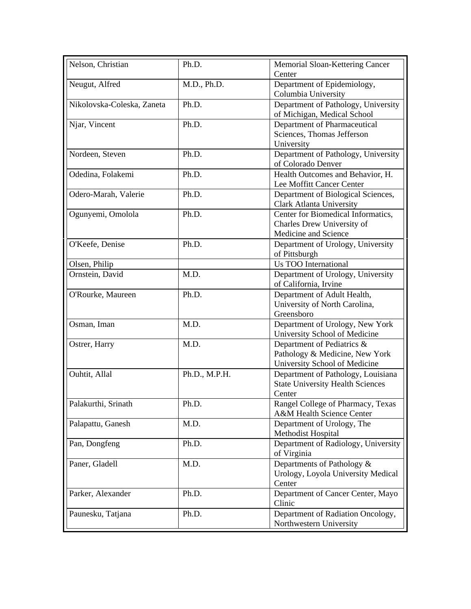| Nelson, Christian          | Ph.D.         | Memorial Sloan-Kettering Cancer<br>Center                                                     |
|----------------------------|---------------|-----------------------------------------------------------------------------------------------|
| Neugut, Alfred             | M.D., Ph.D.   | Department of Epidemiology,<br>Columbia University                                            |
| Nikolovska-Coleska, Zaneta | Ph.D.         | Department of Pathology, University<br>of Michigan, Medical School                            |
| Njar, Vincent              | Ph.D.         | Department of Pharmaceutical<br>Sciences, Thomas Jefferson<br>University                      |
| Nordeen, Steven            | Ph.D.         | Department of Pathology, University<br>of Colorado Denver                                     |
| Odedina, Folakemi          | Ph.D.         | Health Outcomes and Behavior, H.<br>Lee Moffitt Cancer Center                                 |
| Odero-Marah, Valerie       | Ph.D.         | Department of Biological Sciences,<br>Clark Atlanta University                                |
| Ogunyemi, Omolola          | Ph.D.         | Center for Biomedical Informatics,<br>Charles Drew University of<br>Medicine and Science      |
| O'Keefe, Denise            | Ph.D.         | Department of Urology, University<br>of Pittsburgh                                            |
| Olsen, Philip              |               | Us TOO International                                                                          |
| Ornstein, David            | M.D.          | Department of Urology, University<br>of California, Irvine                                    |
| O'Rourke, Maureen          | Ph.D.         | Department of Adult Health,<br>University of North Carolina,<br>Greensboro                    |
| Osman, Iman                | M.D.          | Department of Urology, New York<br>University School of Medicine                              |
| Ostrer, Harry              | M.D.          | Department of Pediatrics &<br>Pathology & Medicine, New York<br>University School of Medicine |
| Ouhtit, Allal              | Ph.D., M.P.H. | Department of Pathology, Louisiana<br><b>State University Health Sciences</b><br>Center       |
| Palakurthi, Srinath        | Ph.D.         | Rangel College of Pharmacy, Texas<br>A&M Health Science Center                                |
| Palapattu, Ganesh          | M.D.          | Department of Urology, The<br>Methodist Hospital                                              |
| Pan, Dongfeng              | Ph.D.         | Department of Radiology, University<br>of Virginia                                            |
| Paner, Gladell             | M.D.          | Departments of Pathology &<br>Urology, Loyola University Medical<br>Center                    |
| Parker, Alexander          | Ph.D.         | Department of Cancer Center, Mayo<br>Clinic                                                   |
| Paunesku, Tatjana          | Ph.D.         | Department of Radiation Oncology,<br>Northwestern University                                  |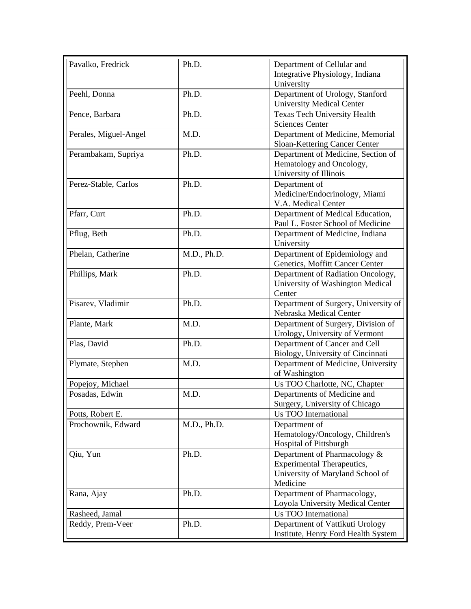| Pavalko, Fredrick     | Ph.D.       | Department of Cellular and<br>Integrative Physiology, Indiana       |
|-----------------------|-------------|---------------------------------------------------------------------|
|                       |             | University                                                          |
| Peehl, Donna          | Ph.D.       | Department of Urology, Stanford<br><b>University Medical Center</b> |
|                       | Ph.D.       | <b>Texas Tech University Health</b>                                 |
| Pence, Barbara        |             | <b>Sciences Center</b>                                              |
| Perales, Miguel-Angel | M.D.        | Department of Medicine, Memorial                                    |
|                       |             | Sloan-Kettering Cancer Center                                       |
| Perambakam, Supriya   | Ph.D.       | Department of Medicine, Section of                                  |
|                       |             | Hematology and Oncology,                                            |
|                       |             | University of Illinois                                              |
| Perez-Stable, Carlos  | Ph.D.       | Department of                                                       |
|                       |             | Medicine/Endocrinology, Miami                                       |
|                       |             | V.A. Medical Center                                                 |
| Pfarr, Curt           | Ph.D.       | Department of Medical Education,                                    |
|                       |             | Paul L. Foster School of Medicine                                   |
| Pflug, Beth           | Ph.D.       | Department of Medicine, Indiana                                     |
|                       |             | University                                                          |
| Phelan, Catherine     | M.D., Ph.D. | Department of Epidemiology and                                      |
|                       |             | Genetics, Moffitt Cancer Center                                     |
| Phillips, Mark        | Ph.D.       | Department of Radiation Oncology,                                   |
|                       |             | University of Washington Medical                                    |
|                       |             | Center                                                              |
| Pisarev, Vladimir     | Ph.D.       | Department of Surgery, University of<br>Nebraska Medical Center     |
| Plante, Mark          | M.D.        | Department of Surgery, Division of                                  |
|                       |             | Urology, University of Vermont                                      |
| Plas, David           | Ph.D.       | Department of Cancer and Cell                                       |
|                       |             | Biology, University of Cincinnati                                   |
| Plymate, Stephen      | M.D.        | Department of Medicine, University                                  |
|                       |             | of Washington                                                       |
| Popejoy, Michael      |             | Us TOO Charlotte, NC, Chapter                                       |
| Posadas, Edwin        | M.D.        | Departments of Medicine and                                         |
|                       |             | Surgery, University of Chicago                                      |
| Potts, Robert E.      |             | Us TOO International                                                |
| Prochownik, Edward    | M.D., Ph.D. | Department of                                                       |
|                       |             | Hematology/Oncology, Children's                                     |
|                       |             | <b>Hospital of Pittsburgh</b>                                       |
| Qiu, Yun              | Ph.D.       | Department of Pharmacology &                                        |
|                       |             | <b>Experimental Therapeutics,</b>                                   |
|                       |             | University of Maryland School of                                    |
|                       |             | Medicine                                                            |
| Rana, Ajay            | Ph.D.       | Department of Pharmacology,                                         |
|                       |             | Loyola University Medical Center                                    |
| Rasheed, Jamal        |             | <b>Us TOO International</b>                                         |
| Reddy, Prem-Veer      | Ph.D.       | Department of Vattikuti Urology                                     |
|                       |             | Institute, Henry Ford Health System                                 |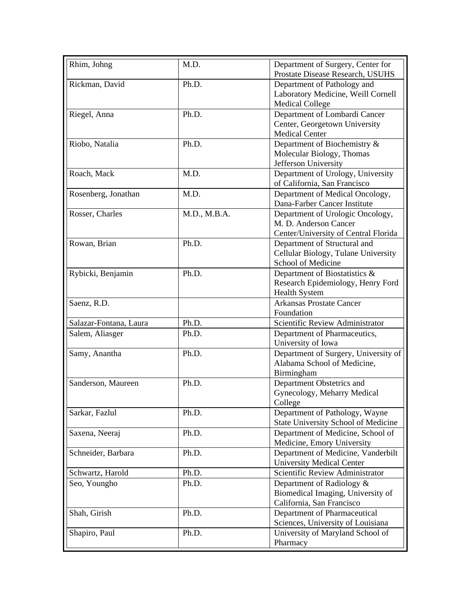| Rhim, Johng            | M.D.         | Department of Surgery, Center for<br>Prostate Disease Research, USUHS                             |
|------------------------|--------------|---------------------------------------------------------------------------------------------------|
| Rickman, David         | Ph.D.        | Department of Pathology and<br>Laboratory Medicine, Weill Cornell<br><b>Medical College</b>       |
| Riegel, Anna           | Ph.D.        | Department of Lombardi Cancer<br>Center, Georgetown University<br><b>Medical Center</b>           |
| Riobo, Natalia         | Ph.D.        | Department of Biochemistry &<br>Molecular Biology, Thomas<br>Jefferson University                 |
| Roach, Mack            | M.D.         | Department of Urology, University<br>of California, San Francisco                                 |
| Rosenberg, Jonathan    | M.D.         | Department of Medical Oncology,<br>Dana-Farber Cancer Institute                                   |
| Rosser, Charles        | M.D., M.B.A. | Department of Urologic Oncology,<br>M. D. Anderson Cancer<br>Center/University of Central Florida |
| Rowan, Brian           | Ph.D.        | Department of Structural and<br>Cellular Biology, Tulane University<br>School of Medicine         |
| Rybicki, Benjamin      | Ph.D.        | Department of Biostatistics &<br>Research Epidemiology, Henry Ford<br><b>Health System</b>        |
| Saenz, R.D.            |              | <b>Arkansas Prostate Cancer</b><br>Foundation                                                     |
| Salazar-Fontana, Laura | Ph.D.        | Scientific Review Administrator                                                                   |
| Salem, Aliasger        | Ph.D.        | Department of Pharmaceutics,<br>University of Iowa                                                |
| Samy, Anantha          | Ph.D.        | Department of Surgery, University of<br>Alabama School of Medicine,<br>Birmingham                 |
| Sanderson, Maureen     | Ph.D.        | Department Obstetrics and<br>Gynecology, Meharry Medical<br>College                               |
| Sarkar, Fazlul         | Ph.D.        | Department of Pathology, Wayne<br><b>State University School of Medicine</b>                      |
| Saxena, Neeraj         | Ph.D.        | Department of Medicine, School of<br>Medicine, Emory University                                   |
| Schneider, Barbara     | Ph.D.        | Department of Medicine, Vanderbilt<br><b>University Medical Center</b>                            |
| Schwartz, Harold       | Ph.D.        | Scientific Review Administrator                                                                   |
| Seo, Youngho           | Ph.D.        | Department of Radiology &<br>Biomedical Imaging, University of<br>California, San Francisco       |
| Shah, Girish           | Ph.D.        | Department of Pharmaceutical<br>Sciences, University of Louisiana                                 |
| Shapiro, Paul          | Ph.D.        | University of Maryland School of<br>Pharmacy                                                      |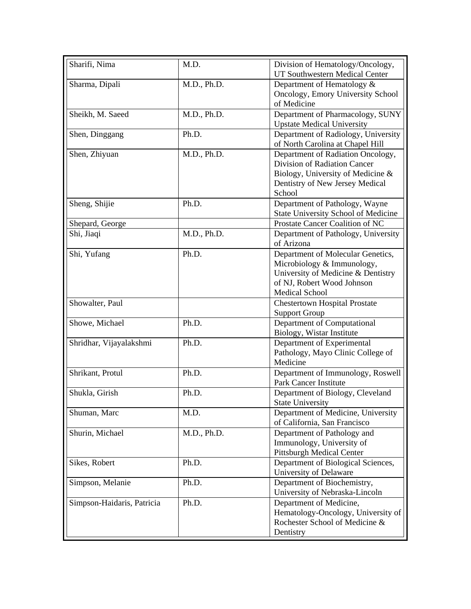| Sharifi, Nima              | M.D.        | Division of Hematology/Oncology,     |
|----------------------------|-------------|--------------------------------------|
|                            |             | UT Southwestern Medical Center       |
| Sharma, Dipali             | M.D., Ph.D. | Department of Hematology &           |
|                            |             | Oncology, Emory University School    |
|                            |             | of Medicine                          |
| Sheikh, M. Saeed           | M.D., Ph.D. | Department of Pharmacology, SUNY     |
|                            |             | <b>Upstate Medical University</b>    |
| Shen, Dinggang             | Ph.D.       | Department of Radiology, University  |
|                            |             | of North Carolina at Chapel Hill     |
| Shen, Zhiyuan              | M.D., Ph.D. | Department of Radiation Oncology,    |
|                            |             | Division of Radiation Cancer         |
|                            |             | Biology, University of Medicine &    |
|                            |             | Dentistry of New Jersey Medical      |
|                            |             | School                               |
| Sheng, Shijie              | Ph.D.       | Department of Pathology, Wayne       |
|                            |             | State University School of Medicine  |
| Shepard, George            |             | Prostate Cancer Coalition of NC      |
| Shi, Jiaqi                 | M.D., Ph.D. | Department of Pathology, University  |
|                            |             | of Arizona                           |
| Shi, Yufang                | Ph.D.       | Department of Molecular Genetics,    |
|                            |             | Microbiology & Immunology,           |
|                            |             | University of Medicine & Dentistry   |
|                            |             | of NJ, Robert Wood Johnson           |
|                            |             | <b>Medical School</b>                |
| Showalter, Paul            |             | <b>Chestertown Hospital Prostate</b> |
|                            |             | <b>Support Group</b>                 |
| Showe, Michael             | Ph.D.       | Department of Computational          |
|                            |             | Biology, Wistar Institute            |
| Shridhar, Vijayalakshmi    | Ph.D.       | Department of Experimental           |
|                            |             | Pathology, Mayo Clinic College of    |
|                            |             | Medicine                             |
| Shrikant, Protul           | Ph.D.       | Department of Immunology, Roswell    |
|                            |             | <b>Park Cancer Institute</b>         |
| Shukla, Girish             | Ph.D.       | Department of Biology, Cleveland     |
|                            |             | <b>State University</b>              |
| Shuman, Marc               | M.D.        | Department of Medicine, University   |
|                            |             | of California, San Francisco         |
| Shurin, Michael            | M.D., Ph.D. | Department of Pathology and          |
|                            |             | Immunology, University of            |
|                            |             | <b>Pittsburgh Medical Center</b>     |
| Sikes, Robert              | Ph.D.       | Department of Biological Sciences,   |
|                            |             | University of Delaware               |
| Simpson, Melanie           | Ph.D.       | Department of Biochemistry,          |
|                            |             | University of Nebraska-Lincoln       |
|                            | Ph.D.       |                                      |
| Simpson-Haidaris, Patricia |             | Department of Medicine,              |
|                            |             | Hematology-Oncology, University of   |
|                            |             | Rochester School of Medicine &       |
|                            |             | Dentistry                            |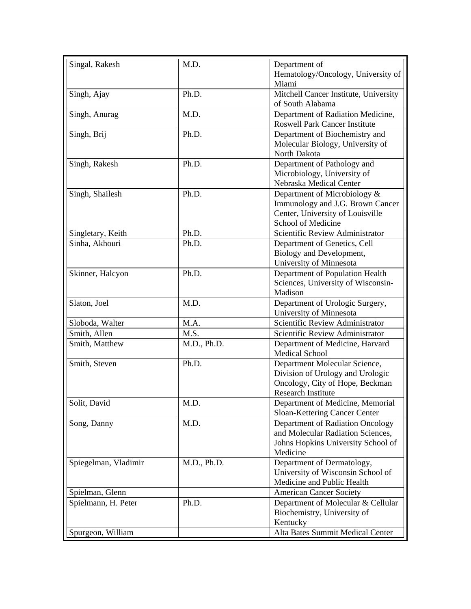| Singal, Rakesh       | M.D.        | Department of                                              |
|----------------------|-------------|------------------------------------------------------------|
|                      |             | Hematology/Oncology, University of                         |
|                      |             | Miami                                                      |
| Singh, Ajay          | Ph.D.       | Mitchell Cancer Institute, University                      |
|                      |             | of South Alabama                                           |
| Singh, Anurag        | M.D.        | Department of Radiation Medicine,                          |
|                      |             | <b>Roswell Park Cancer Institute</b>                       |
| Singh, Brij          | Ph.D.       | Department of Biochemistry and                             |
|                      |             | Molecular Biology, University of                           |
|                      |             | North Dakota                                               |
| Singh, Rakesh        | Ph.D.       | Department of Pathology and                                |
|                      |             | Microbiology, University of                                |
|                      |             | Nebraska Medical Center                                    |
| Singh, Shailesh      | Ph.D.       | Department of Microbiology &                               |
|                      |             | Immunology and J.G. Brown Cancer                           |
|                      |             | Center, University of Louisville                           |
|                      |             | School of Medicine                                         |
| Singletary, Keith    | Ph.D.       | Scientific Review Administrator                            |
| Sinha, Akhouri       | Ph.D.       | Department of Genetics, Cell                               |
|                      |             | Biology and Development,                                   |
|                      |             | University of Minnesota                                    |
| Skinner, Halcyon     | Ph.D.       | Department of Population Health                            |
|                      |             | Sciences, University of Wisconsin-                         |
|                      |             | Madison                                                    |
|                      |             |                                                            |
| Slaton, Joel         | M.D.        | Department of Urologic Surgery,<br>University of Minnesota |
| Sloboda, Walter      | M.A.        | Scientific Review Administrator                            |
| Smith, Allen         | M.S.        |                                                            |
|                      |             | Scientific Review Administrator                            |
| Smith, Matthew       | M.D., Ph.D. | Department of Medicine, Harvard<br><b>Medical School</b>   |
| Smith, Steven        | Ph.D.       | Department Molecular Science,                              |
|                      |             | Division of Urology and Urologic                           |
|                      |             | Oncology, City of Hope, Beckman                            |
|                      |             | <b>Research Institute</b>                                  |
| Solit, David         | M.D.        | Department of Medicine, Memorial                           |
|                      |             | Sloan-Kettering Cancer Center                              |
| Song, Danny          | M.D.        | Department of Radiation Oncology                           |
|                      |             | and Molecular Radiation Sciences,                          |
|                      |             | Johns Hopkins University School of                         |
|                      |             | Medicine                                                   |
| Spiegelman, Vladimir | M.D., Ph.D. | Department of Dermatology,                                 |
|                      |             | University of Wisconsin School of                          |
|                      |             | Medicine and Public Health                                 |
| Spielman, Glenn      |             | <b>American Cancer Society</b>                             |
| Spielmann, H. Peter  | Ph.D.       | Department of Molecular & Cellular                         |
|                      |             | Biochemistry, University of                                |
|                      |             | Kentucky                                                   |
| Spurgeon, William    |             | Alta Bates Summit Medical Center                           |
|                      |             |                                                            |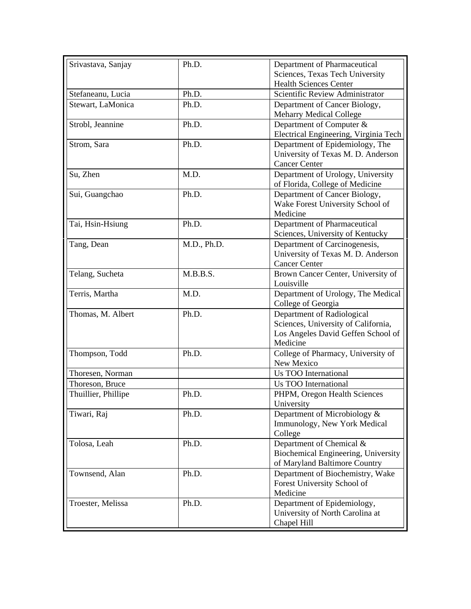| Srivastava, Sanjay  | Ph.D.       | Department of Pharmaceutical          |
|---------------------|-------------|---------------------------------------|
|                     |             | Sciences, Texas Tech University       |
|                     |             | <b>Health Sciences Center</b>         |
| Stefaneanu, Lucia   | Ph.D.       | Scientific Review Administrator       |
| Stewart, LaMonica   | Ph.D.       | Department of Cancer Biology,         |
|                     |             | <b>Meharry Medical College</b>        |
| Strobl, Jeannine    | Ph.D.       | Department of Computer &              |
|                     |             | Electrical Engineering, Virginia Tech |
| Strom, Sara         | Ph.D.       | Department of Epidemiology, The       |
|                     |             | University of Texas M. D. Anderson    |
|                     |             | <b>Cancer Center</b>                  |
| Su, Zhen            | M.D.        | Department of Urology, University     |
|                     |             | of Florida, College of Medicine       |
| Sui, Guangchao      | Ph.D.       | Department of Cancer Biology,         |
|                     |             | Wake Forest University School of      |
|                     |             | Medicine                              |
| Tai, Hsin-Hsiung    | Ph.D.       | Department of Pharmaceutical          |
|                     |             | Sciences, University of Kentucky      |
| Tang, Dean          | M.D., Ph.D. | Department of Carcinogenesis,         |
|                     |             | University of Texas M. D. Anderson    |
|                     |             | <b>Cancer Center</b>                  |
| Telang, Sucheta     | M.B.B.S.    | Brown Cancer Center, University of    |
|                     |             | Louisville                            |
| Terris, Martha      | M.D.        | Department of Urology, The Medical    |
|                     |             | College of Georgia                    |
| Thomas, M. Albert   | Ph.D.       | Department of Radiological            |
|                     |             | Sciences, University of California,   |
|                     |             | Los Angeles David Geffen School of    |
|                     |             | Medicine                              |
| Thompson, Todd      | Ph.D.       | College of Pharmacy, University of    |
|                     |             | New Mexico                            |
| Thoresen, Norman    |             | <b>Us TOO International</b>           |
| Thoreson, Bruce     |             | Us TOO International                  |
| Thuillier, Phillipe | Ph.D.       | PHPM, Oregon Health Sciences          |
|                     |             | University                            |
| Tiwari, Raj         | Ph.D.       | Department of Microbiology &          |
|                     |             | Immunology, New York Medical          |
|                     |             | College                               |
| Tolosa, Leah        | Ph.D.       | Department of Chemical &              |
|                     |             | Biochemical Engineering, University   |
|                     |             | of Maryland Baltimore Country         |
| Townsend, Alan      | Ph.D.       | Department of Biochemistry, Wake      |
|                     |             | Forest University School of           |
|                     |             | Medicine                              |
| Troester, Melissa   | Ph.D.       | Department of Epidemiology,           |
|                     |             | University of North Carolina at       |
|                     |             | Chapel Hill                           |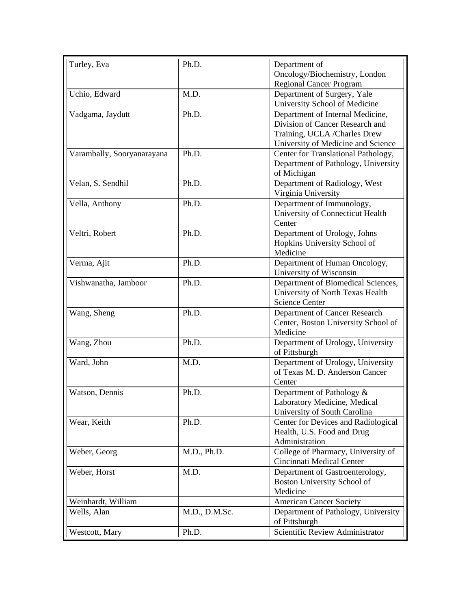| Turley, Eva                | Ph.D.         | Department of                       |
|----------------------------|---------------|-------------------------------------|
|                            |               | Oncology/Biochemistry, London       |
|                            |               | <b>Regional Cancer Program</b>      |
| Uchio, Edward              | M.D.          | Department of Surgery, Yale         |
|                            |               | University School of Medicine       |
| Vadgama, Jaydutt           | Ph.D.         | Department of Internal Medicine,    |
|                            |               | Division of Cancer Research and     |
|                            |               | Training, UCLA /Charles Drew        |
|                            |               | University of Medicine and Science  |
| Varambally, Sooryanarayana | Ph.D.         | Center for Translational Pathology, |
|                            |               | Department of Pathology, University |
|                            |               | of Michigan                         |
| Velan, S. Sendhil          | Ph.D.         | Department of Radiology, West       |
|                            |               | Virginia University                 |
| Vella, Anthony             | Ph.D.         | Department of Immunology,           |
|                            |               | University of Connecticut Health    |
|                            |               | Center                              |
| Veltri, Robert             | Ph.D.         | Department of Urology, Johns        |
|                            |               | Hopkins University School of        |
|                            |               | Medicine                            |
| Verma, Ajit                | Ph.D.         | Department of Human Oncology,       |
|                            |               | University of Wisconsin             |
| Vishwanatha, Jamboor       | Ph.D.         | Department of Biomedical Sciences,  |
|                            |               | University of North Texas Health    |
|                            |               | <b>Science Center</b>               |
| Wang, Sheng                | Ph.D.         | Department of Cancer Research       |
|                            |               | Center, Boston University School of |
|                            |               | Medicine                            |
| Wang, Zhou                 | Ph.D.         | Department of Urology, University   |
|                            |               | of Pittsburgh                       |
| Ward, John                 | M.D.          | Department of Urology, University   |
|                            |               | of Texas M. D. Anderson Cancer      |
|                            |               | Center                              |
| Watson, Dennis             | Ph.D.         | Department of Pathology &           |
|                            |               | Laboratory Medicine, Medical        |
|                            |               | University of South Carolina        |
| Wear, Keith                | Ph.D.         | Center for Devices and Radiological |
|                            |               | Health, U.S. Food and Drug          |
|                            |               | Administration                      |
| Weber, Georg               | M.D., Ph.D.   | College of Pharmacy, University of  |
|                            |               | Cincinnati Medical Center           |
| Weber, Horst               | M.D.          | Department of Gastroenterology,     |
|                            |               | Boston University School of         |
|                            |               | Medicine                            |
| Weinhardt, William         |               | <b>American Cancer Society</b>      |
| Wells, Alan                | M.D., D.M.Sc. | Department of Pathology, University |
|                            |               | of Pittsburgh                       |
| Westcott, Mary             | Ph.D.         | Scientific Review Administrator     |
|                            |               |                                     |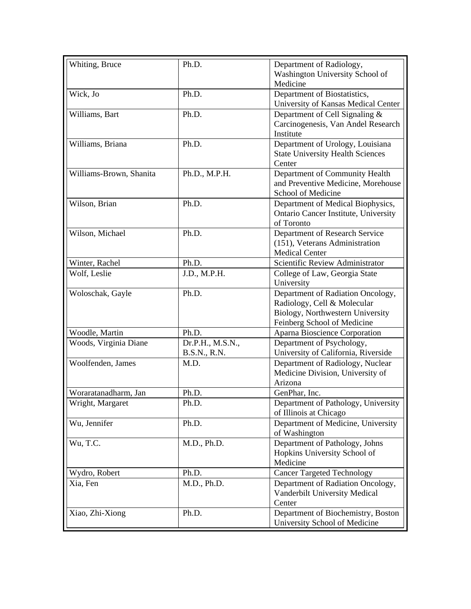| Whiting, Bruce          | Ph.D.                | Department of Radiology,                                                |
|-------------------------|----------------------|-------------------------------------------------------------------------|
|                         |                      | Washington University School of                                         |
|                         |                      | Medicine                                                                |
| Wick, Jo                | Ph.D.                | Department of Biostatistics,                                            |
|                         |                      | University of Kansas Medical Center                                     |
| Williams, Bart          | Ph.D.                | Department of Cell Signaling &                                          |
|                         |                      | Carcinogenesis, Van Andel Research                                      |
|                         |                      | Institute                                                               |
| Williams, Briana        | Ph.D.                | Department of Urology, Louisiana                                        |
|                         |                      | <b>State University Health Sciences</b><br>Center                       |
| Williams-Brown, Shanita | Ph.D., M.P.H.        | Department of Community Health                                          |
|                         |                      | and Preventive Medicine, Morehouse                                      |
|                         |                      | School of Medicine                                                      |
| Wilson, Brian           | Ph.D.                | Department of Medical Biophysics,                                       |
|                         |                      | Ontario Cancer Institute, University                                    |
|                         |                      | of Toronto                                                              |
| Wilson, Michael         | Ph.D.                | Department of Research Service                                          |
|                         |                      | (151), Veterans Administration                                          |
|                         |                      | <b>Medical Center</b>                                                   |
| Winter, Rachel          | Ph.D.                | Scientific Review Administrator                                         |
| Wolf, Leslie            | J.D., M.P.H.         | College of Law, Georgia State                                           |
|                         |                      | University                                                              |
| Woloschak, Gayle        | Ph.D.                | Department of Radiation Oncology,                                       |
|                         |                      | Radiology, Cell & Molecular                                             |
|                         |                      | Biology, Northwestern University                                        |
|                         |                      | Feinberg School of Medicine                                             |
| Woodle, Martin          | Ph.D.                | Aparna Bioscience Corporation                                           |
| Woods, Virginia Diane   | Dr.P.H., M.S.N.,     | Department of Psychology,                                               |
| Woolfenden, James       | B.S.N., R.N.<br>M.D. | University of California, Riverside<br>Department of Radiology, Nuclear |
|                         |                      | Medicine Division, University of                                        |
|                         |                      | Arizona                                                                 |
| Woraratanadharm, Jan    | Ph.D.                | GenPhar, Inc.                                                           |
| Wright, Margaret        | Ph.D.                | Department of Pathology, University                                     |
|                         |                      | of Illinois at Chicago                                                  |
| Wu, Jennifer            | Ph.D.                | Department of Medicine, University                                      |
|                         |                      | of Washington                                                           |
| Wu, T.C.                | M.D., Ph.D.          | Department of Pathology, Johns                                          |
|                         |                      | Hopkins University School of                                            |
|                         |                      | Medicine                                                                |
| Wydro, Robert           | Ph.D.                | <b>Cancer Targeted Technology</b>                                       |
| Xia, Fen                | M.D., Ph.D.          | Department of Radiation Oncology,                                       |
|                         |                      | Vanderbilt University Medical                                           |
|                         |                      | Center                                                                  |
| Xiao, Zhi-Xiong         | Ph.D.                | Department of Biochemistry, Boston                                      |
|                         |                      | University School of Medicine                                           |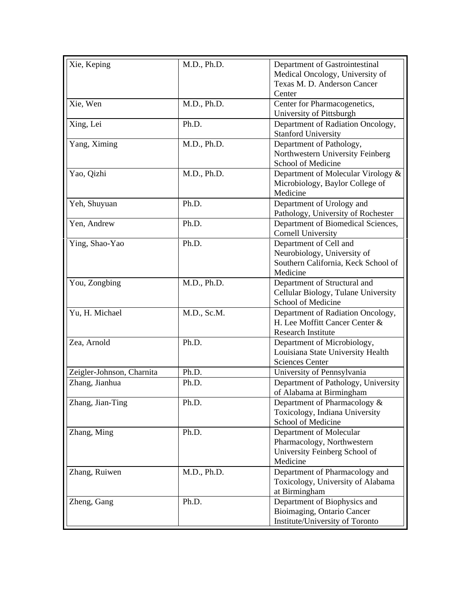| Xie, Keping               | M.D., Ph.D. | Department of Gastrointestinal<br>Medical Oncology, University of<br>Texas M. D. Anderson Cancer<br>Center |
|---------------------------|-------------|------------------------------------------------------------------------------------------------------------|
| Xie, Wen                  | M.D., Ph.D. | Center for Pharmacogenetics,<br>University of Pittsburgh                                                   |
| Xing, Lei                 | Ph.D.       | Department of Radiation Oncology,<br><b>Stanford University</b>                                            |
| Yang, Ximing              | M.D., Ph.D. | Department of Pathology,<br>Northwestern University Feinberg<br>School of Medicine                         |
| Yao, Qizhi                | M.D., Ph.D. | Department of Molecular Virology &<br>Microbiology, Baylor College of<br>Medicine                          |
| Yeh, Shuyuan              | Ph.D.       | Department of Urology and<br>Pathology, University of Rochester                                            |
| Yen, Andrew               | Ph.D.       | Department of Biomedical Sciences,<br><b>Cornell University</b>                                            |
| Ying, Shao-Yao            | Ph.D.       | Department of Cell and<br>Neurobiology, University of<br>Southern California, Keck School of<br>Medicine   |
| You, Zongbing             | M.D., Ph.D. | Department of Structural and<br>Cellular Biology, Tulane University<br>School of Medicine                  |
| Yu, H. Michael            | M.D., Sc.M. | Department of Radiation Oncology,<br>H. Lee Moffitt Cancer Center &<br><b>Research Institute</b>           |
| Zea, Arnold               | Ph.D.       | Department of Microbiology,<br>Louisiana State University Health<br><b>Sciences Center</b>                 |
| Zeigler-Johnson, Charnita | Ph.D.       | University of Pennsylvania                                                                                 |
| Zhang, Jianhua            | Ph.D.       | Department of Pathology, University<br>of Alabama at Birmingham                                            |
| Zhang, Jian-Ting          | Ph.D.       | Department of Pharmacology &<br>Toxicology, Indiana University<br>School of Medicine                       |
| Zhang, Ming               | Ph.D.       | Department of Molecular<br>Pharmacology, Northwestern<br>University Feinberg School of<br>Medicine         |
| Zhang, Ruiwen             | M.D., Ph.D. | Department of Pharmacology and<br>Toxicology, University of Alabama<br>at Birmingham                       |
| Zheng, Gang               | Ph.D.       | Department of Biophysics and<br>Bioimaging, Ontario Cancer<br>Institute/University of Toronto              |